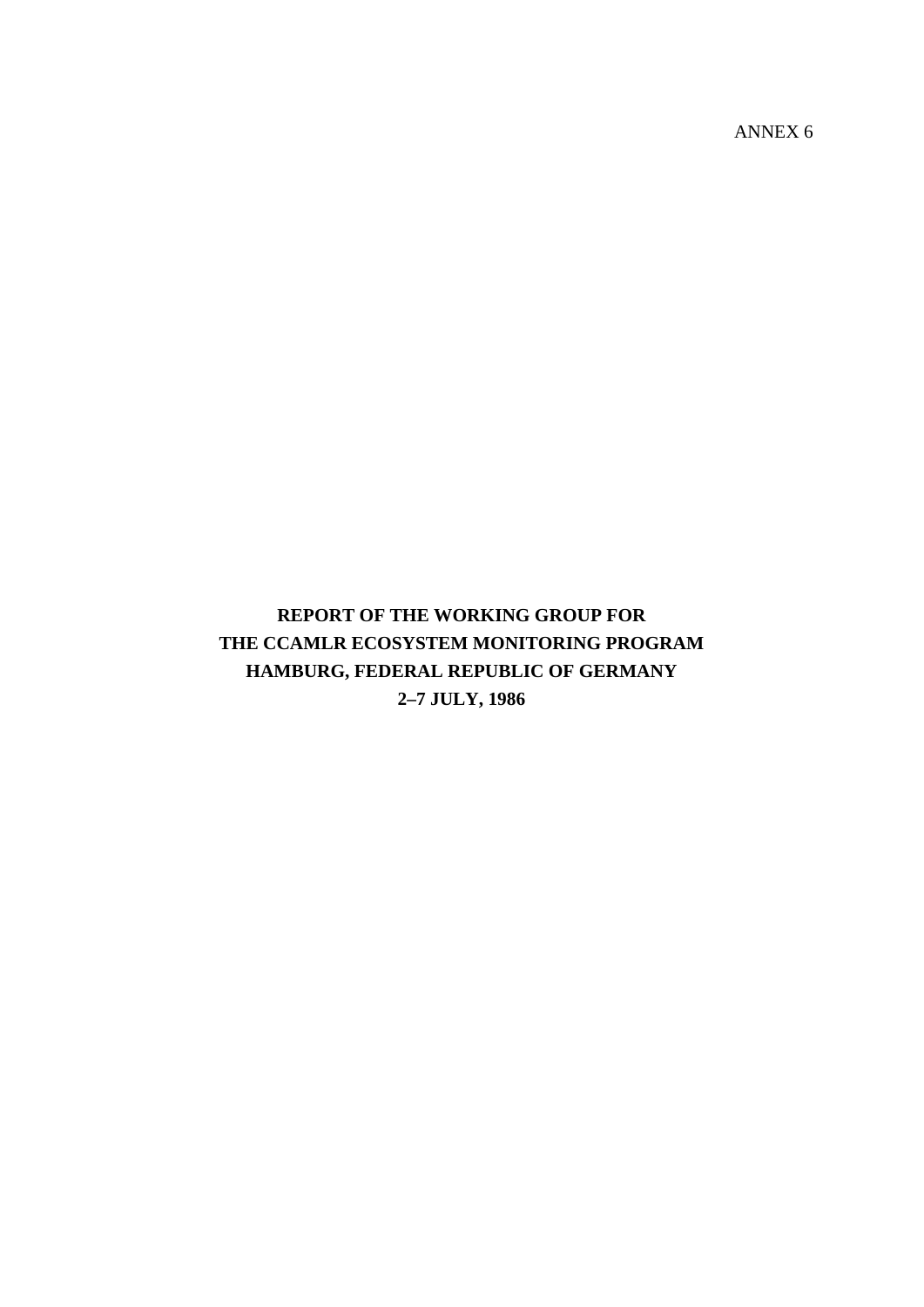ANNEX 6

# **REPORT OF THE WORKING GROUP FOR THE CCAMLR ECOSYSTEM MONITORING PROGRAM HAMBURG, FEDERAL REPUBLIC OF GERMANY 2–7 JULY, 1986**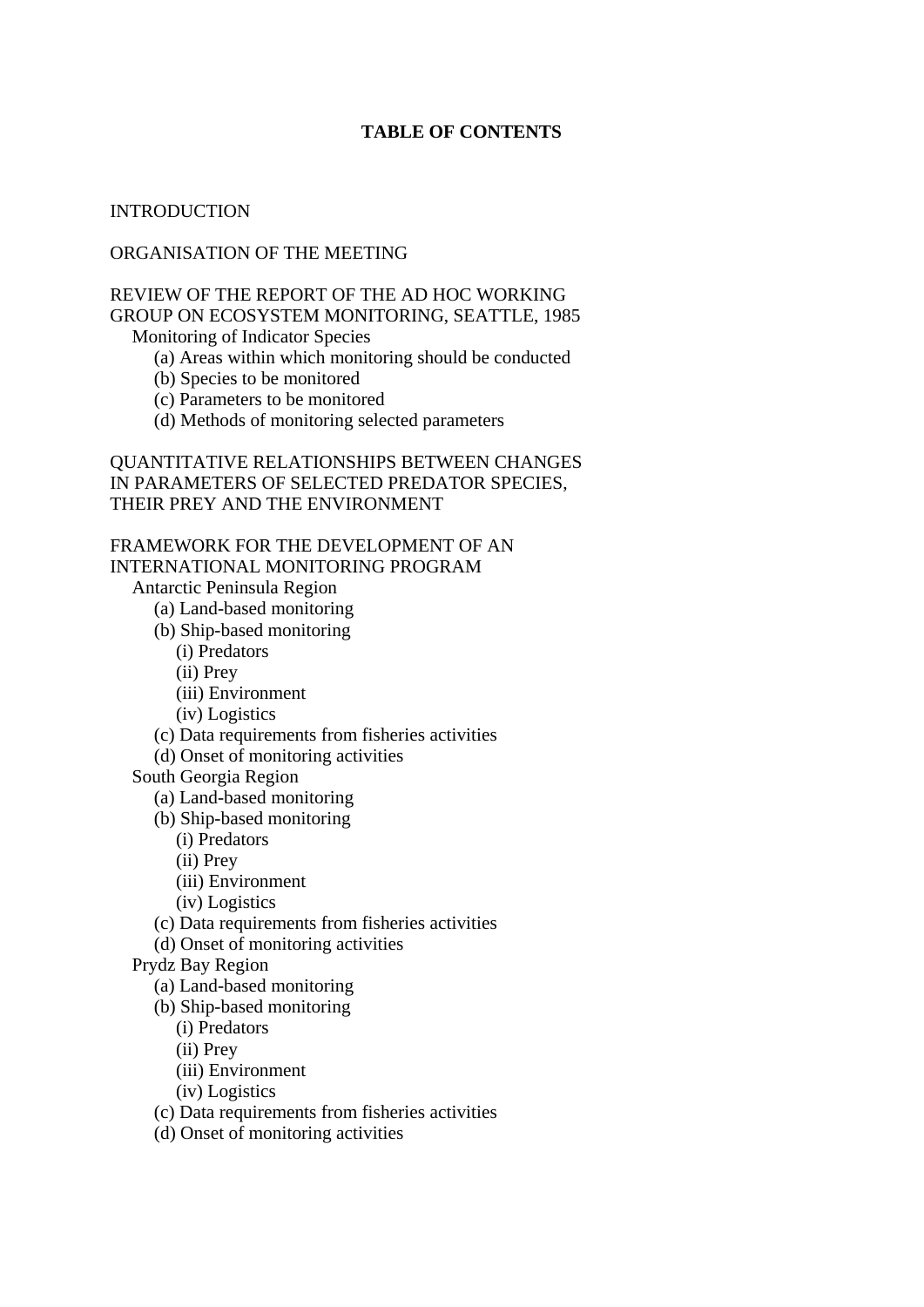### **TABLE OF CONTENTS**

#### INTRODUCTION

### ORGANISATION OF THE MEETING

#### REVIEW OF THE REPORT OF THE AD HOC WORKING GROUP ON ECOSYSTEM MONITORING, SEATTLE, 1985 Monitoring of Indicator Species

(a) Areas within which monitoring should be conducted

(b) Species to be monitored

(c) Parameters to be monitored

(d) Methods of monitoring selected parameters

#### QUANTITATIVE RELATIONSHIPS BETWEEN CHANGES IN PARAMETERS OF SELECTED PREDATOR SPECIES, THEIR PREY AND THE ENVIRONMENT

# FRAMEWORK FOR THE DEVELOPMENT OF AN

INTERNATIONAL MONITORING PROGRAM

Antarctic Peninsula Region

- (a) Land-based monitoring
- (b) Ship-based monitoring

(i) Predators

(ii) Prey

(iii) Environment

(iv) Logistics

(c) Data requirements from fisheries activities

(d) Onset of monitoring activities

South Georgia Region

(a) Land-based monitoring

(b) Ship-based monitoring

(i) Predators

(ii) Prey

(iii) Environment

(iv) Logistics

(c) Data requirements from fisheries activities

(d) Onset of monitoring activities

Prydz Bay Region

(a) Land-based monitoring

(b) Ship-based monitoring

(i) Predators

(ii) Prey

(iii) Environment

(iv) Logistics

(c) Data requirements from fisheries activities

(d) Onset of monitoring activities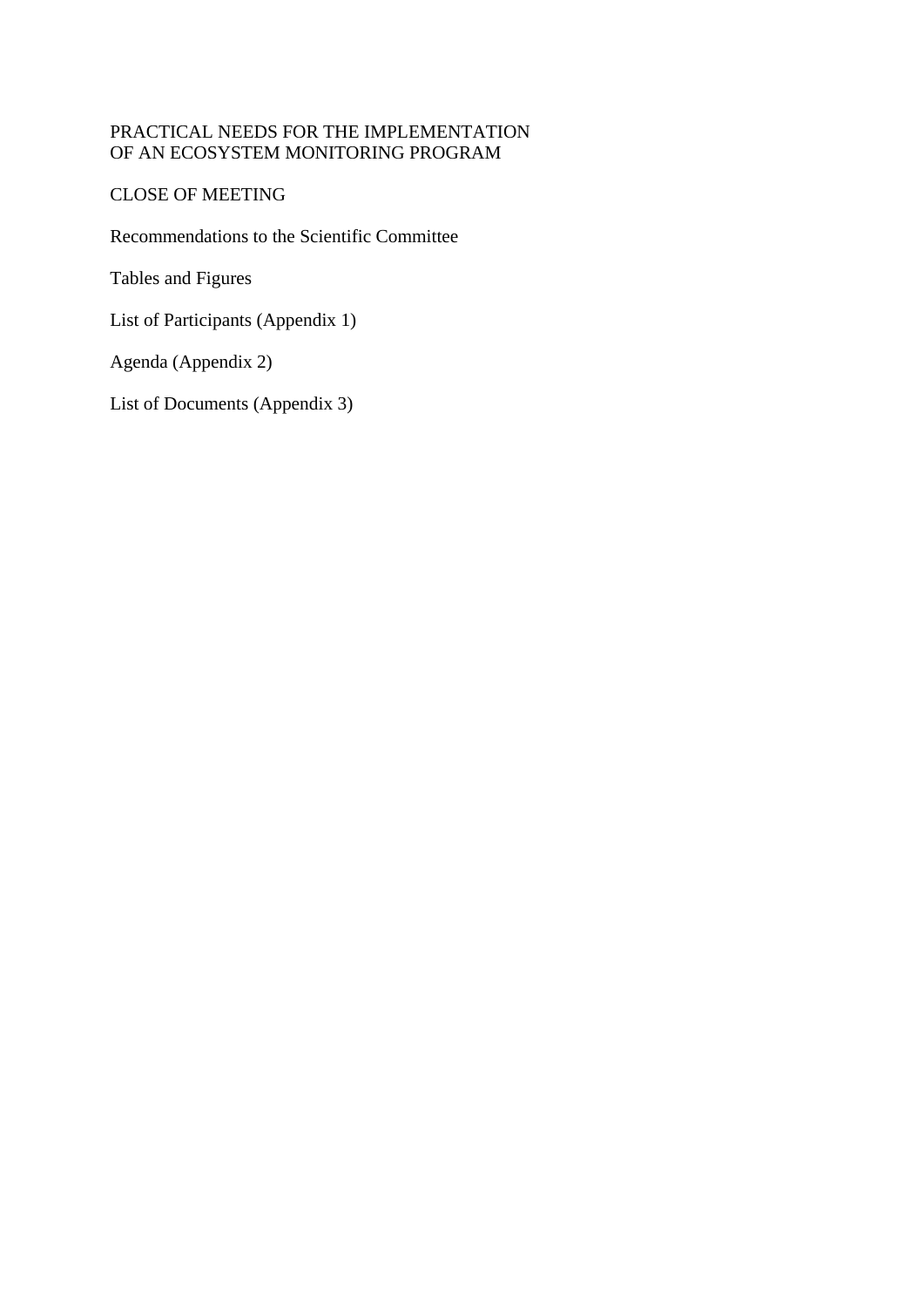## PRACTICAL NEEDS FOR THE IMPLEMENTATION OF AN ECOSYSTEM MONITORING PROGRAM

CLOSE OF MEETING

Recommendations to the Scientific Committee

Tables and Figures

List of Participants (Appendix 1)

Agenda (Appendix 2)

List of Documents (Appendix 3)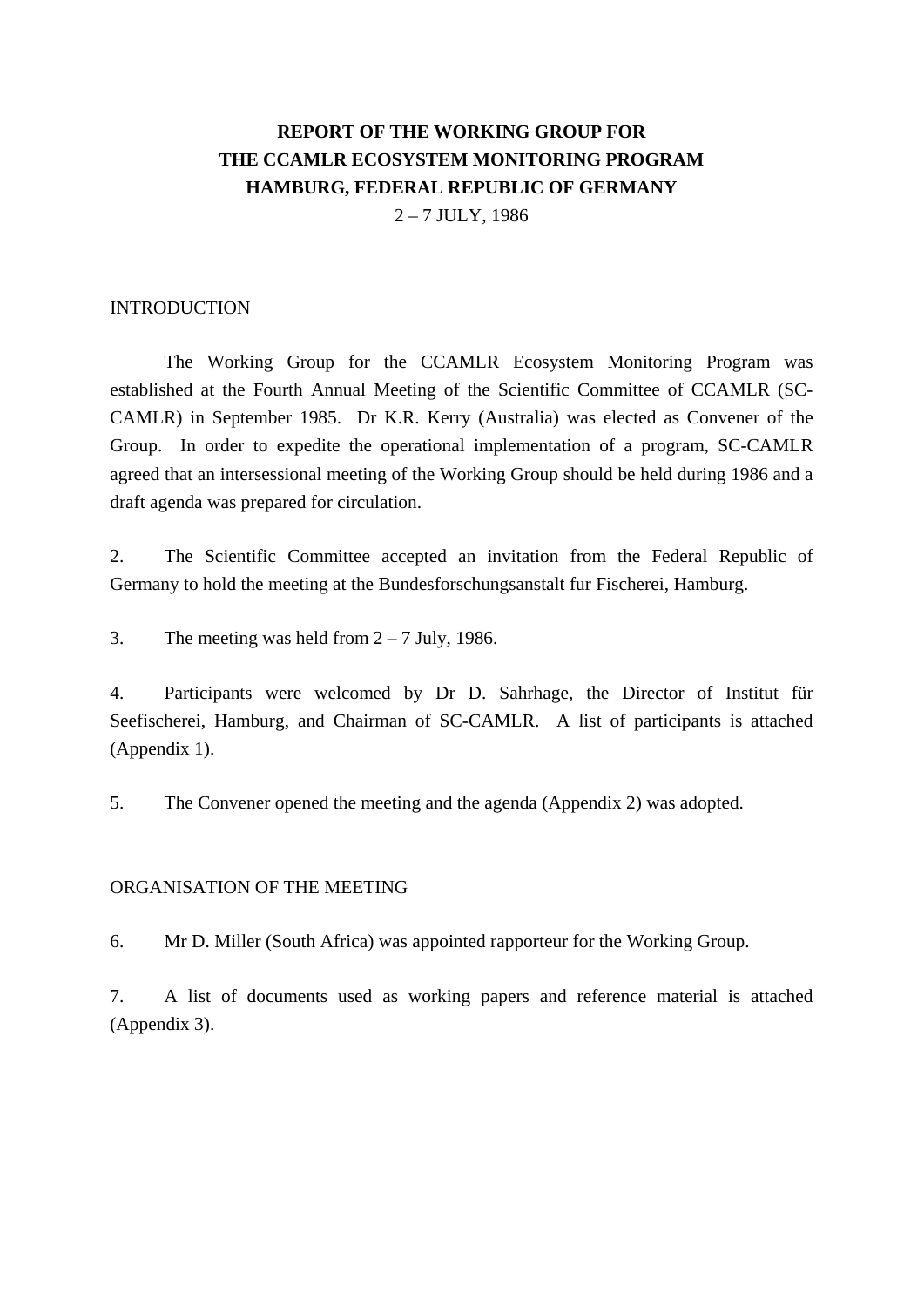# **REPORT OF THE WORKING GROUP FOR THE CCAMLR ECOSYSTEM MONITORING PROGRAM HAMBURG, FEDERAL REPUBLIC OF GERMANY**

 $2 - 7$  JULY, 1986

### INTRODUCTION

 The Working Group for the CCAMLR Ecosystem Monitoring Program was established at the Fourth Annual Meeting of the Scientific Committee of CCAMLR (SC-CAMLR) in September 1985. Dr K.R. Kerry (Australia) was elected as Convener of the Group. In order to expedite the operational implementation of a program, SC-CAMLR agreed that an intersessional meeting of the Working Group should be held during 1986 and a draft agenda was prepared for circulation.

2. The Scientific Committee accepted an invitation from the Federal Republic of Germany to hold the meeting at the Bundesforschungsanstalt fur Fischerei, Hamburg.

3. The meeting was held from  $2 - 7$  July, 1986.

4. Participants were welcomed by Dr D. Sahrhage, the Director of Institut für Seefischerei, Hamburg, and Chairman of SC-CAMLR. A list of participants is attached (Appendix 1).

5. The Convener opened the meeting and the agenda (Appendix 2) was adopted.

#### ORGANISATION OF THE MEETING

6. Mr D. Miller (South Africa) was appointed rapporteur for the Working Group.

7. A list of documents used as working papers and reference material is attached (Appendix 3).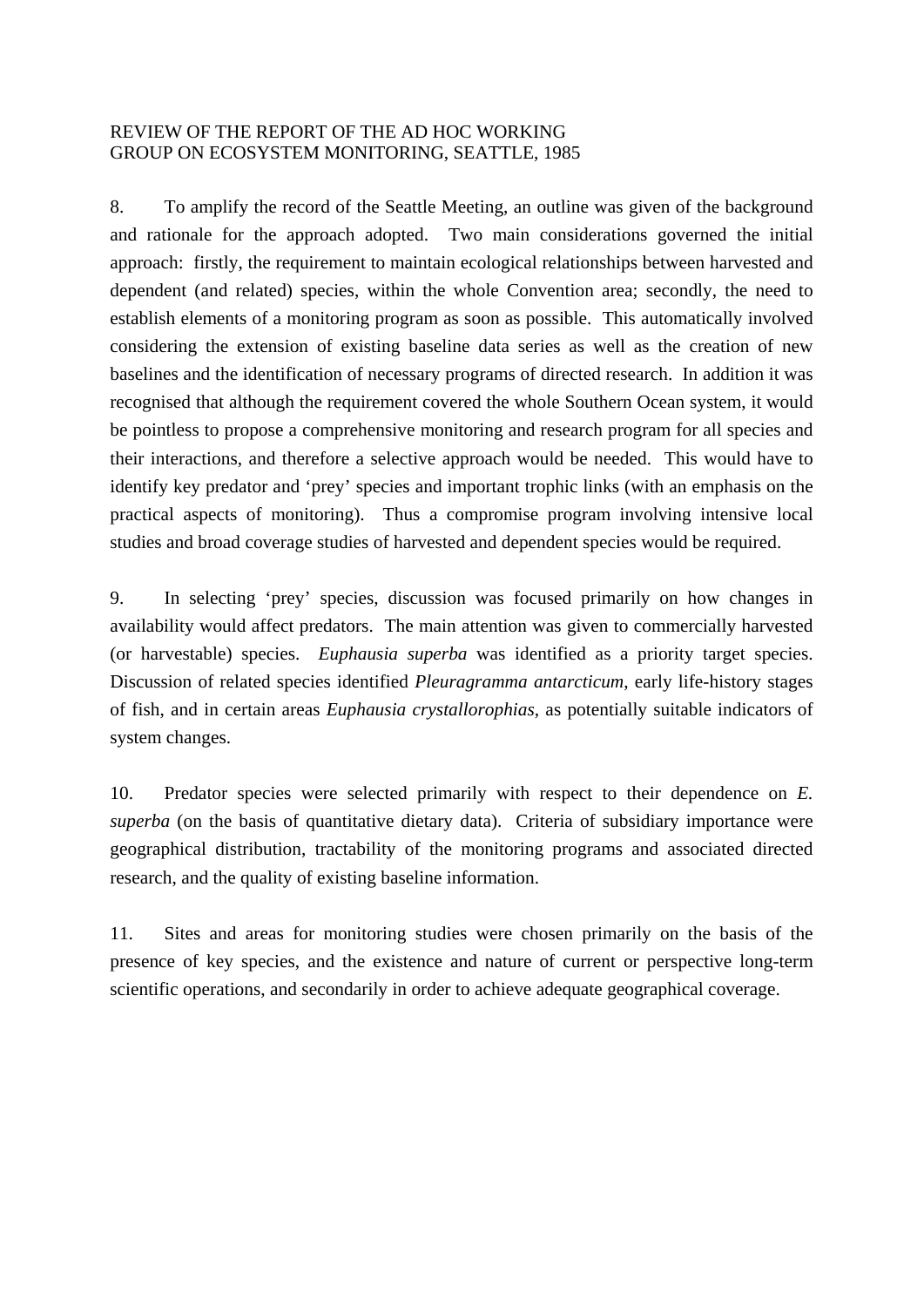### REVIEW OF THE REPORT OF THE AD HOC WORKING GROUP ON ECOSYSTEM MONITORING, SEATTLE, 1985

8. To amplify the record of the Seattle Meeting, an outline was given of the background and rationale for the approach adopted. Two main considerations governed the initial approach: firstly, the requirement to maintain ecological relationships between harvested and dependent (and related) species, within the whole Convention area; secondly, the need to establish elements of a monitoring program as soon as possible. This automatically involved considering the extension of existing baseline data series as well as the creation of new baselines and the identification of necessary programs of directed research. In addition it was recognised that although the requirement covered the whole Southern Ocean system, it would be pointless to propose a comprehensive monitoring and research program for all species and their interactions, and therefore a selective approach would be needed. This would have to identify key predator and 'prey' species and important trophic links (with an emphasis on the practical aspects of monitoring). Thus a compromise program involving intensive local studies and broad coverage studies of harvested and dependent species would be required.

9. In selecting 'prey' species, discussion was focused primarily on how changes in availability would affect predators. The main attention was given to commercially harvested (or harvestable) species. *Euphausia superba* was identified as a priority target species. Discussion of related species identified *Pleuragramma antarcticum*, early life-history stages of fish, and in certain areas *Euphausia crystallorophias*, as potentially suitable indicators of system changes.

10. Predator species were selected primarily with respect to their dependence on *E. superba* (on the basis of quantitative dietary data). Criteria of subsidiary importance were geographical distribution, tractability of the monitoring programs and associated directed research, and the quality of existing baseline information.

11. Sites and areas for monitoring studies were chosen primarily on the basis of the presence of key species, and the existence and nature of current or perspective long-term scientific operations, and secondarily in order to achieve adequate geographical coverage.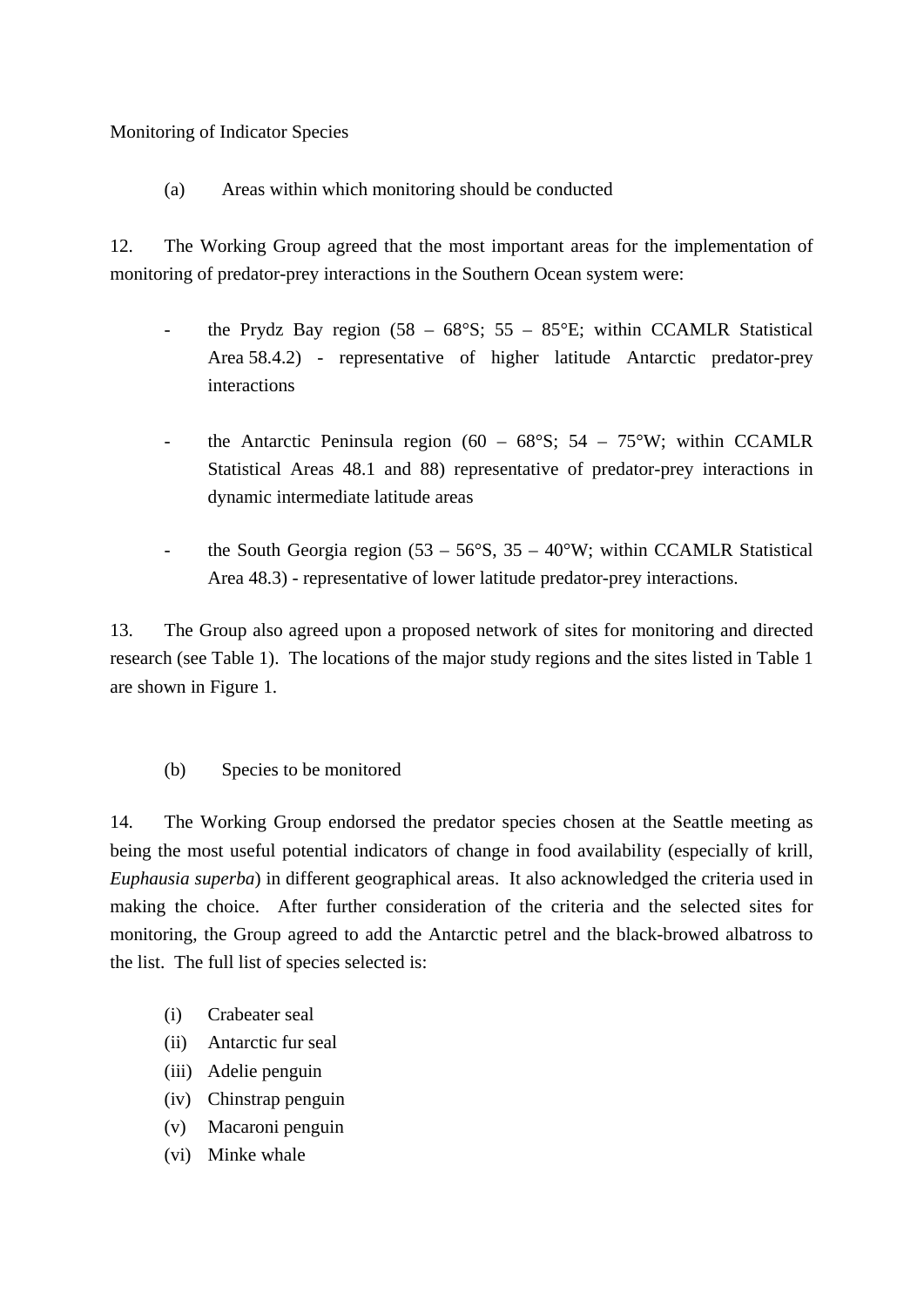Monitoring of Indicator Species

(a) Areas within which monitoring should be conducted

12. The Working Group agreed that the most important areas for the implementation of monitoring of predator-prey interactions in the Southern Ocean system were:

- the Prydz Bay region  $(58 68^{\circ}S; 55 85^{\circ}E;$  within CCAMLR Statistical Area 58.4.2) - representative of higher latitude Antarctic predator-prey interactions
- the Antarctic Peninsula region (60 68°S; 54 75°W; within CCAMLR Statistical Areas 48.1 and 88) representative of predator-prey interactions in dynamic intermediate latitude areas
- the South Georgia region  $(53 56^{\circ}S, 35 40^{\circ}W)$ ; within CCAMLR Statistical Area 48.3) - representative of lower latitude predator-prey interactions.

13. The Group also agreed upon a proposed network of sites for monitoring and directed research (see Table 1). The locations of the major study regions and the sites listed in Table 1 are shown in Figure 1.

(b) Species to be monitored

14. The Working Group endorsed the predator species chosen at the Seattle meeting as being the most useful potential indicators of change in food availability (especially of krill, *Euphausia superba*) in different geographical areas. It also acknowledged the criteria used in making the choice. After further consideration of the criteria and the selected sites for monitoring, the Group agreed to add the Antarctic petrel and the black-browed albatross to the list. The full list of species selected is:

- (i) Crabeater seal
- (ii) Antarctic fur seal
- (iii) Adelie penguin
- (iv) Chinstrap penguin
- (v) Macaroni penguin
- (vi) Minke whale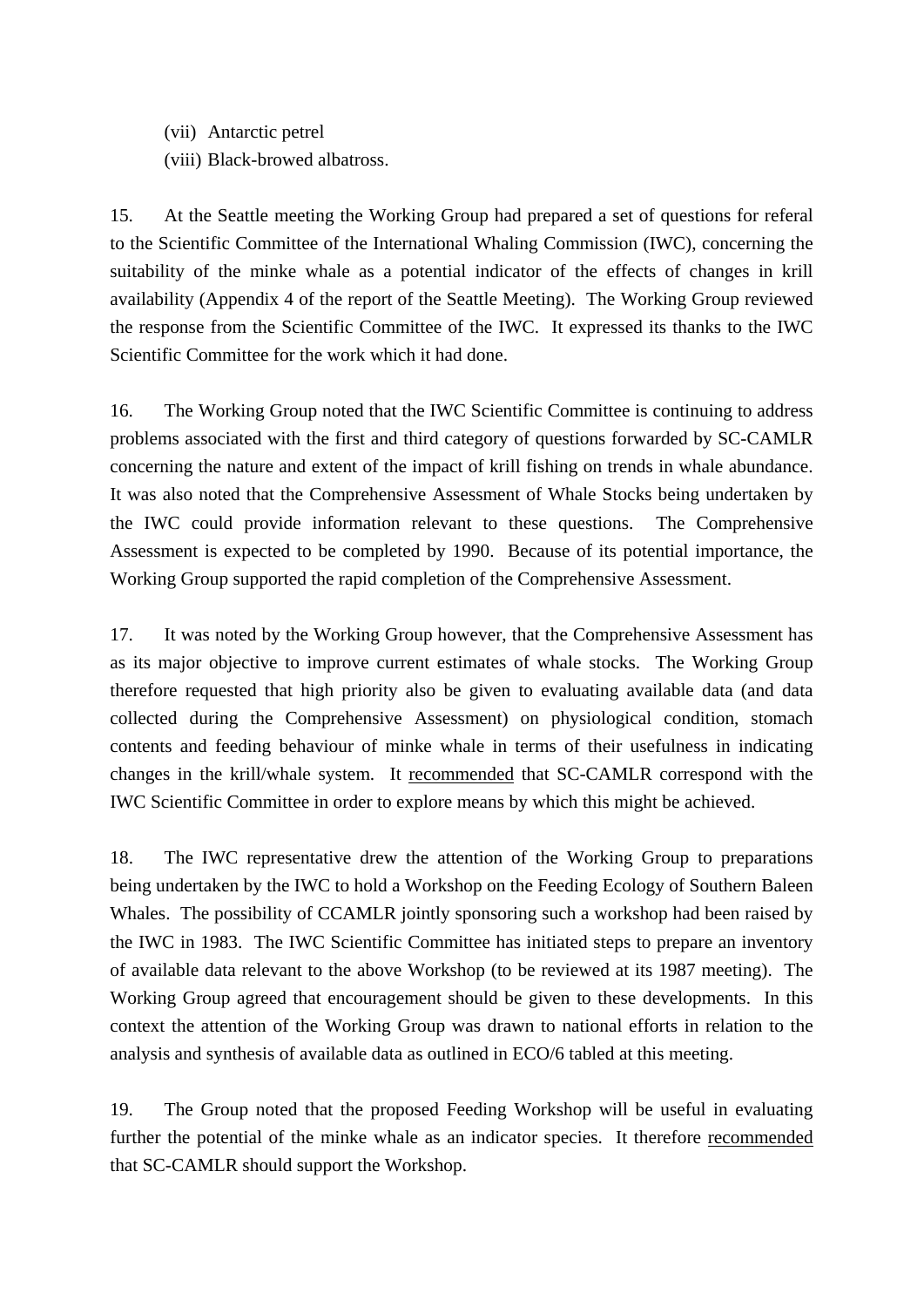(vii) Antarctic petrel

(viii) Black-browed albatross.

15. At the Seattle meeting the Working Group had prepared a set of questions for referal to the Scientific Committee of the International Whaling Commission (IWC), concerning the suitability of the minke whale as a potential indicator of the effects of changes in krill availability (Appendix 4 of the report of the Seattle Meeting). The Working Group reviewed the response from the Scientific Committee of the IWC. It expressed its thanks to the IWC Scientific Committee for the work which it had done.

16. The Working Group noted that the IWC Scientific Committee is continuing to address problems associated with the first and third category of questions forwarded by SC-CAMLR concerning the nature and extent of the impact of krill fishing on trends in whale abundance. It was also noted that the Comprehensive Assessment of Whale Stocks being undertaken by the IWC could provide information relevant to these questions. The Comprehensive Assessment is expected to be completed by 1990. Because of its potential importance, the Working Group supported the rapid completion of the Comprehensive Assessment.

17. It was noted by the Working Group however, that the Comprehensive Assessment has as its major objective to improve current estimates of whale stocks. The Working Group therefore requested that high priority also be given to evaluating available data (and data collected during the Comprehensive Assessment) on physiological condition, stomach contents and feeding behaviour of minke whale in terms of their usefulness in indicating changes in the krill/whale system. It recommended that SC-CAMLR correspond with the IWC Scientific Committee in order to explore means by which this might be achieved.

18. The IWC representative drew the attention of the Working Group to preparations being undertaken by the IWC to hold a Workshop on the Feeding Ecology of Southern Baleen Whales. The possibility of CCAMLR jointly sponsoring such a workshop had been raised by the IWC in 1983. The IWC Scientific Committee has initiated steps to prepare an inventory of available data relevant to the above Workshop (to be reviewed at its 1987 meeting). The Working Group agreed that encouragement should be given to these developments. In this context the attention of the Working Group was drawn to national efforts in relation to the analysis and synthesis of available data as outlined in ECO/6 tabled at this meeting.

19. The Group noted that the proposed Feeding Workshop will be useful in evaluating further the potential of the minke whale as an indicator species. It therefore recommended that SC-CAMLR should support the Workshop.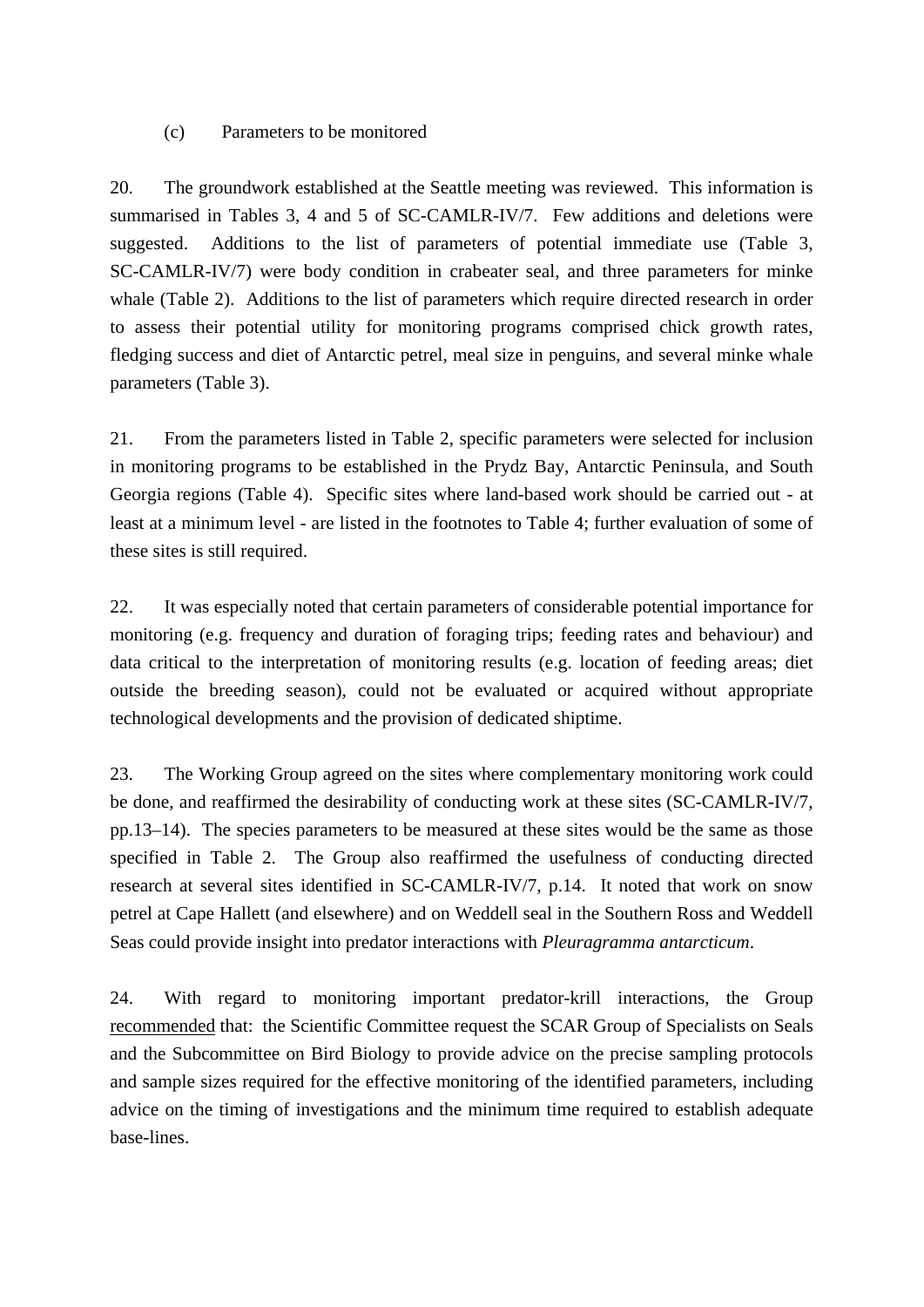### (c) Parameters to be monitored

20. The groundwork established at the Seattle meeting was reviewed. This information is summarised in Tables 3, 4 and 5 of SC-CAMLR-IV/7. Few additions and deletions were suggested. Additions to the list of parameters of potential immediate use (Table 3, SC-CAMLR-IV/7) were body condition in crabeater seal, and three parameters for minke whale (Table 2). Additions to the list of parameters which require directed research in order to assess their potential utility for monitoring programs comprised chick growth rates, fledging success and diet of Antarctic petrel, meal size in penguins, and several minke whale parameters (Table 3).

21. From the parameters listed in Table 2, specific parameters were selected for inclusion in monitoring programs to be established in the Prydz Bay, Antarctic Peninsula, and South Georgia regions (Table 4). Specific sites where land-based work should be carried out - at least at a minimum level - are listed in the footnotes to Table 4; further evaluation of some of these sites is still required.

22. It was especially noted that certain parameters of considerable potential importance for monitoring (e.g. frequency and duration of foraging trips; feeding rates and behaviour) and data critical to the interpretation of monitoring results (e.g. location of feeding areas; diet outside the breeding season), could not be evaluated or acquired without appropriate technological developments and the provision of dedicated shiptime.

23. The Working Group agreed on the sites where complementary monitoring work could be done, and reaffirmed the desirability of conducting work at these sites (SC-CAMLR-IV/7, pp.13–14). The species parameters to be measured at these sites would be the same as those specified in Table 2. The Group also reaffirmed the usefulness of conducting directed research at several sites identified in SC-CAMLR-IV/7, p.14. It noted that work on snow petrel at Cape Hallett (and elsewhere) and on Weddell seal in the Southern Ross and Weddell Seas could provide insight into predator interactions with *Pleuragramma antarcticum*.

24. With regard to monitoring important predator-krill interactions, the Group recommended that: the Scientific Committee request the SCAR Group of Specialists on Seals and the Subcommittee on Bird Biology to provide advice on the precise sampling protocols and sample sizes required for the effective monitoring of the identified parameters, including advice on the timing of investigations and the minimum time required to establish adequate base-lines.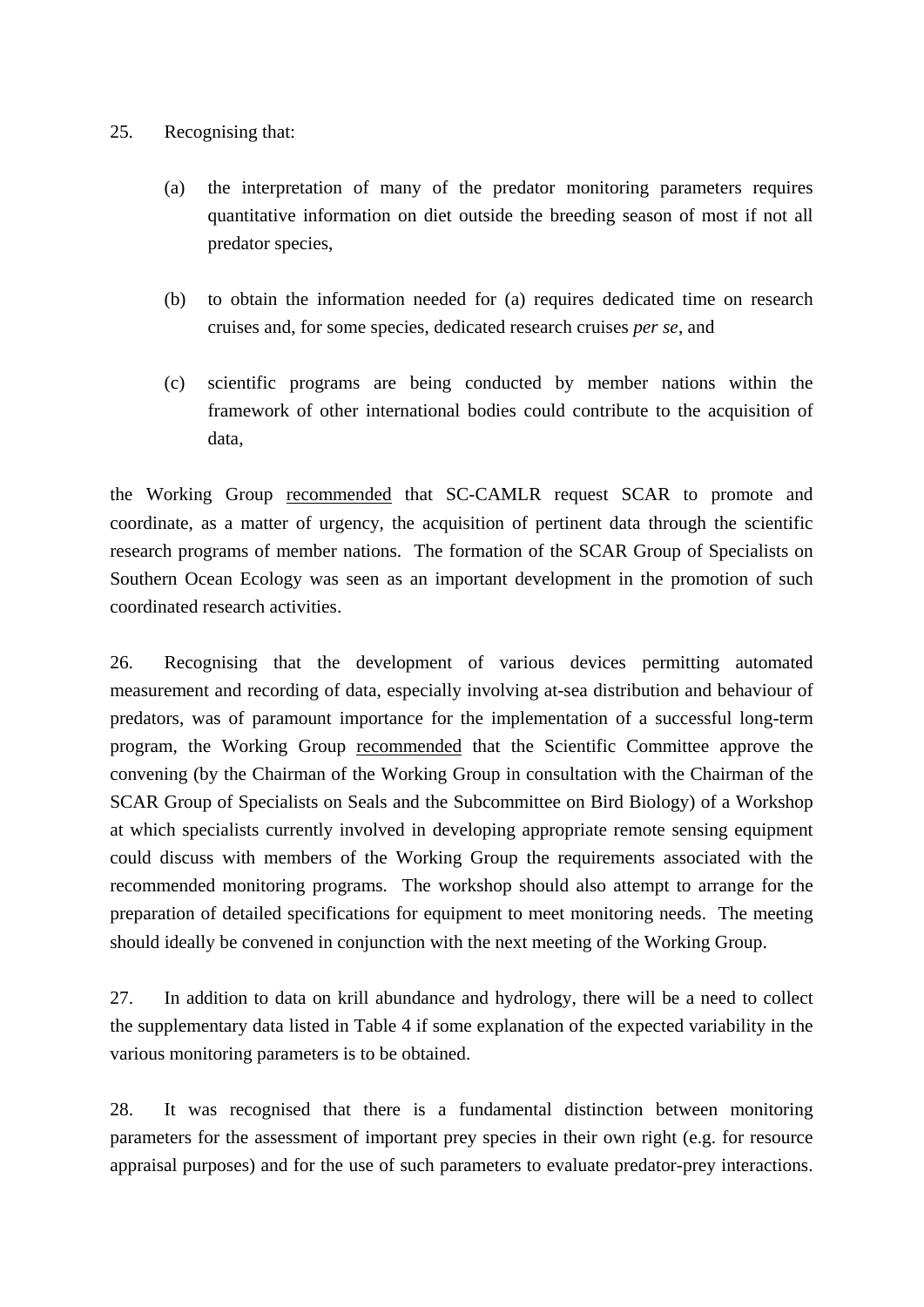### 25. Recognising that:

- (a) the interpretation of many of the predator monitoring parameters requires quantitative information on diet outside the breeding season of most if not all predator species,
- (b) to obtain the information needed for (a) requires dedicated time on research cruises and, for some species, dedicated research cruises *per se*, and
- (c) scientific programs are being conducted by member nations within the framework of other international bodies could contribute to the acquisition of data,

the Working Group recommended that SC-CAMLR request SCAR to promote and coordinate, as a matter of urgency, the acquisition of pertinent data through the scientific research programs of member nations. The formation of the SCAR Group of Specialists on Southern Ocean Ecology was seen as an important development in the promotion of such coordinated research activities.

26. Recognising that the development of various devices permitting automated measurement and recording of data, especially involving at-sea distribution and behaviour of predators, was of paramount importance for the implementation of a successful long-term program, the Working Group recommended that the Scientific Committee approve the convening (by the Chairman of the Working Group in consultation with the Chairman of the SCAR Group of Specialists on Seals and the Subcommittee on Bird Biology) of a Workshop at which specialists currently involved in developing appropriate remote sensing equipment could discuss with members of the Working Group the requirements associated with the recommended monitoring programs. The workshop should also attempt to arrange for the preparation of detailed specifications for equipment to meet monitoring needs. The meeting should ideally be convened in conjunction with the next meeting of the Working Group.

27. In addition to data on krill abundance and hydrology, there will be a need to collect the supplementary data listed in Table 4 if some explanation of the expected variability in the various monitoring parameters is to be obtained.

28. It was recognised that there is a fundamental distinction between monitoring parameters for the assessment of important prey species in their own right (e.g. for resource appraisal purposes) and for the use of such parameters to evaluate predator-prey interactions.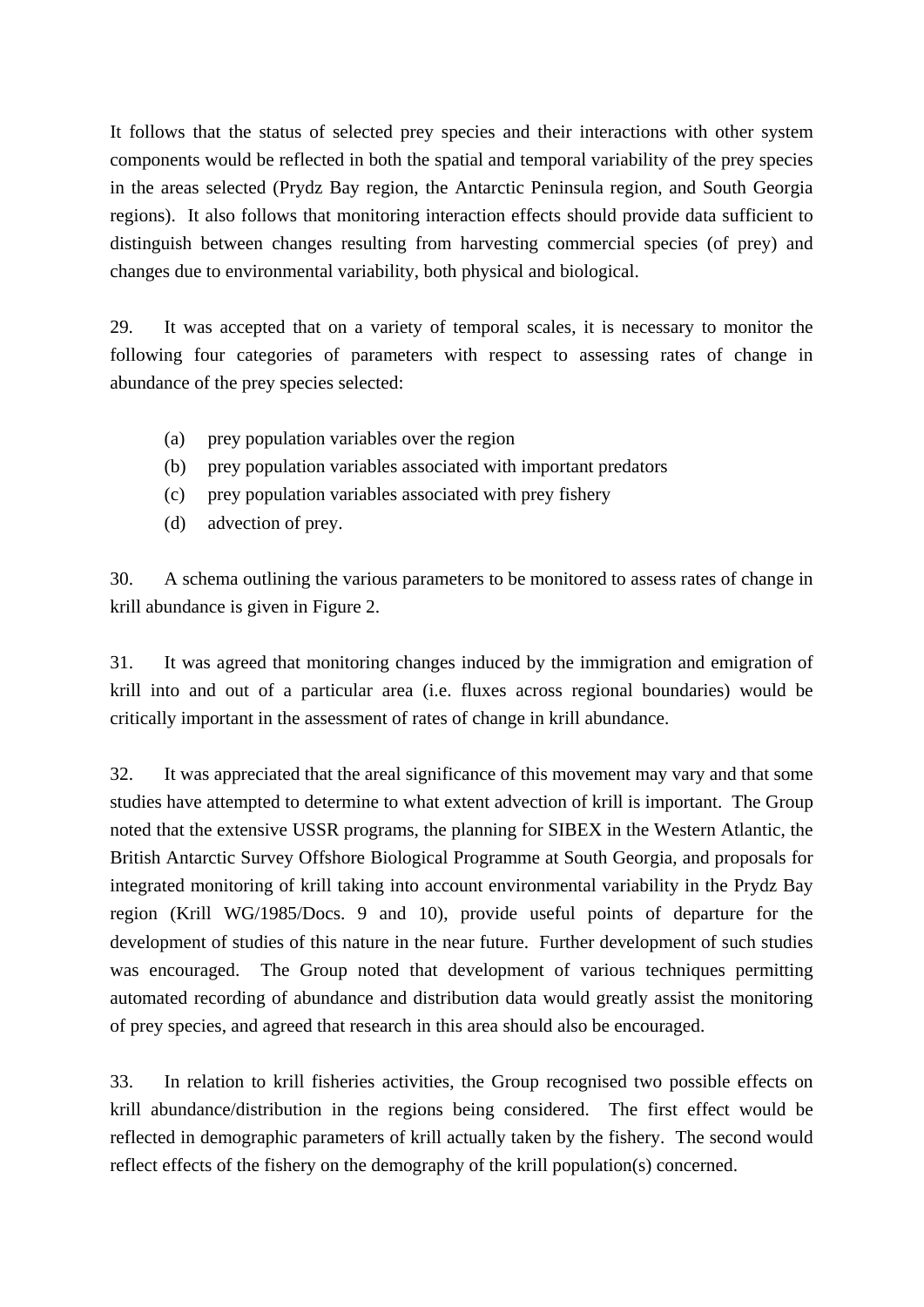It follows that the status of selected prey species and their interactions with other system components would be reflected in both the spatial and temporal variability of the prey species in the areas selected (Prydz Bay region, the Antarctic Peninsula region, and South Georgia regions). It also follows that monitoring interaction effects should provide data sufficient to distinguish between changes resulting from harvesting commercial species (of prey) and changes due to environmental variability, both physical and biological.

29. It was accepted that on a variety of temporal scales, it is necessary to monitor the following four categories of parameters with respect to assessing rates of change in abundance of the prey species selected:

- (a) prey population variables over the region
- (b) prey population variables associated with important predators
- (c) prey population variables associated with prey fishery
- (d) advection of prey.

30. A schema outlining the various parameters to be monitored to assess rates of change in krill abundance is given in Figure 2.

31. It was agreed that monitoring changes induced by the immigration and emigration of krill into and out of a particular area (i.e. fluxes across regional boundaries) would be critically important in the assessment of rates of change in krill abundance.

32. It was appreciated that the areal significance of this movement may vary and that some studies have attempted to determine to what extent advection of krill is important. The Group noted that the extensive USSR programs, the planning for SIBEX in the Western Atlantic, the British Antarctic Survey Offshore Biological Programme at South Georgia, and proposals for integrated monitoring of krill taking into account environmental variability in the Prydz Bay region (Krill WG/1985/Docs. 9 and 10), provide useful points of departure for the development of studies of this nature in the near future. Further development of such studies was encouraged. The Group noted that development of various techniques permitting automated recording of abundance and distribution data would greatly assist the monitoring of prey species, and agreed that research in this area should also be encouraged.

33. In relation to krill fisheries activities, the Group recognised two possible effects on krill abundance/distribution in the regions being considered. The first effect would be reflected in demographic parameters of krill actually taken by the fishery. The second would reflect effects of the fishery on the demography of the krill population(s) concerned.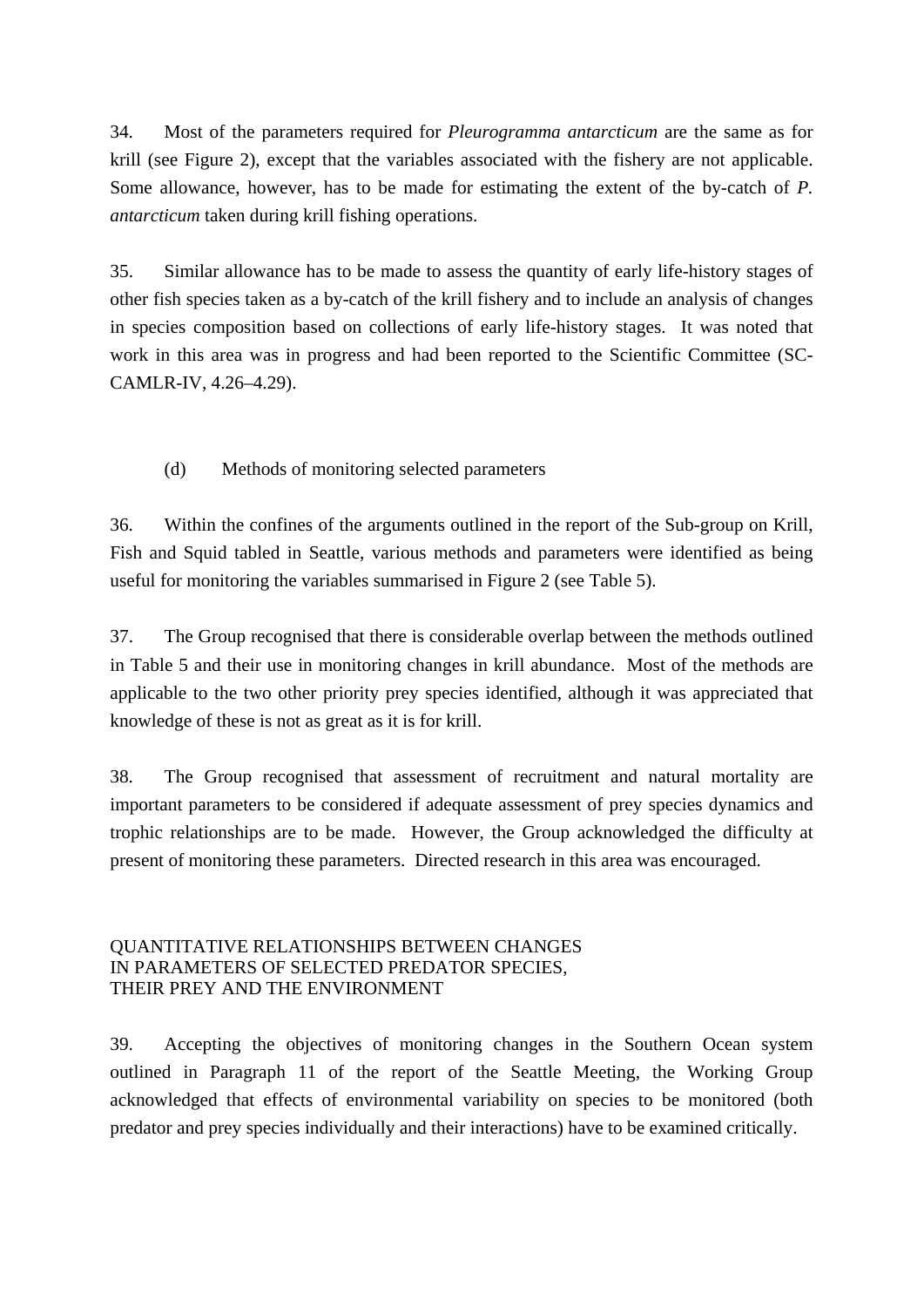34. Most of the parameters required for *Pleurogramma antarcticum* are the same as for krill (see Figure 2), except that the variables associated with the fishery are not applicable. Some allowance, however, has to be made for estimating the extent of the by-catch of *P. antarcticum* taken during krill fishing operations.

35. Similar allowance has to be made to assess the quantity of early life-history stages of other fish species taken as a by-catch of the krill fishery and to include an analysis of changes in species composition based on collections of early life-history stages. It was noted that work in this area was in progress and had been reported to the Scientific Committee (SC-CAMLR-IV, 4.26–4.29).

### (d) Methods of monitoring selected parameters

36. Within the confines of the arguments outlined in the report of the Sub-group on Krill, Fish and Squid tabled in Seattle, various methods and parameters were identified as being useful for monitoring the variables summarised in Figure 2 (see Table 5).

37. The Group recognised that there is considerable overlap between the methods outlined in Table 5 and their use in monitoring changes in krill abundance. Most of the methods are applicable to the two other priority prey species identified, although it was appreciated that knowledge of these is not as great as it is for krill.

38. The Group recognised that assessment of recruitment and natural mortality are important parameters to be considered if adequate assessment of prey species dynamics and trophic relationships are to be made. However, the Group acknowledged the difficulty at present of monitoring these parameters. Directed research in this area was encouraged.

### QUANTITATIVE RELATIONSHIPS BETWEEN CHANGES IN PARAMETERS OF SELECTED PREDATOR SPECIES, THEIR PREY AND THE ENVIRONMENT

39. Accepting the objectives of monitoring changes in the Southern Ocean system outlined in Paragraph 11 of the report of the Seattle Meeting, the Working Group acknowledged that effects of environmental variability on species to be monitored (both predator and prey species individually and their interactions) have to be examined critically.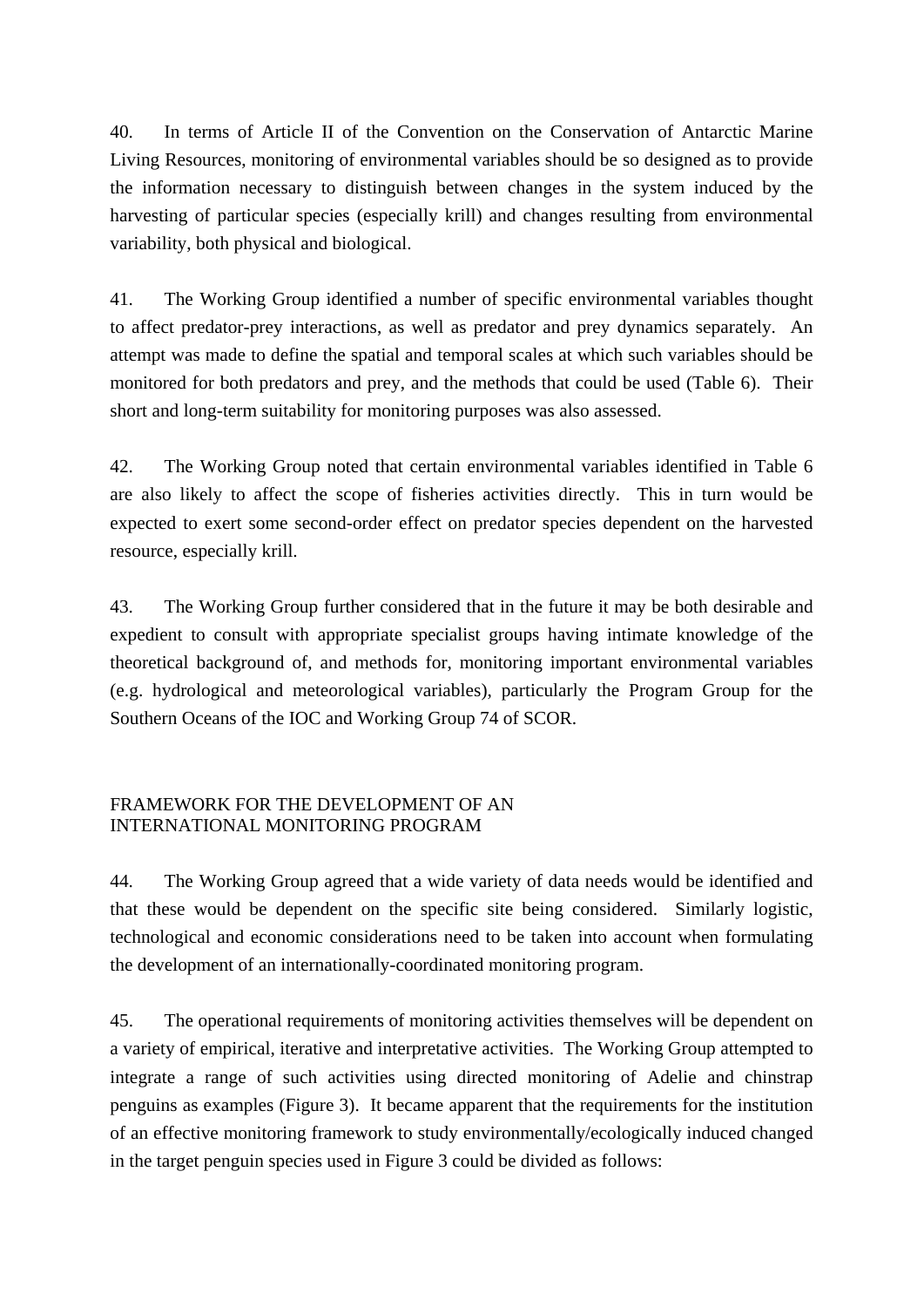40. In terms of Article II of the Convention on the Conservation of Antarctic Marine Living Resources, monitoring of environmental variables should be so designed as to provide the information necessary to distinguish between changes in the system induced by the harvesting of particular species (especially krill) and changes resulting from environmental variability, both physical and biological.

41. The Working Group identified a number of specific environmental variables thought to affect predator-prey interactions, as well as predator and prey dynamics separately. An attempt was made to define the spatial and temporal scales at which such variables should be monitored for both predators and prey, and the methods that could be used (Table 6). Their short and long-term suitability for monitoring purposes was also assessed.

42. The Working Group noted that certain environmental variables identified in Table 6 are also likely to affect the scope of fisheries activities directly. This in turn would be expected to exert some second-order effect on predator species dependent on the harvested resource, especially krill.

43. The Working Group further considered that in the future it may be both desirable and expedient to consult with appropriate specialist groups having intimate knowledge of the theoretical background of, and methods for, monitoring important environmental variables (e.g. hydrological and meteorological variables), particularly the Program Group for the Southern Oceans of the IOC and Working Group 74 of SCOR.

### FRAMEWORK FOR THE DEVELOPMENT OF AN INTERNATIONAL MONITORING PROGRAM

44. The Working Group agreed that a wide variety of data needs would be identified and that these would be dependent on the specific site being considered. Similarly logistic, technological and economic considerations need to be taken into account when formulating the development of an internationally-coordinated monitoring program.

45. The operational requirements of monitoring activities themselves will be dependent on a variety of empirical, iterative and interpretative activities. The Working Group attempted to integrate a range of such activities using directed monitoring of Adelie and chinstrap penguins as examples (Figure 3). It became apparent that the requirements for the institution of an effective monitoring framework to study environmentally/ecologically induced changed in the target penguin species used in Figure 3 could be divided as follows: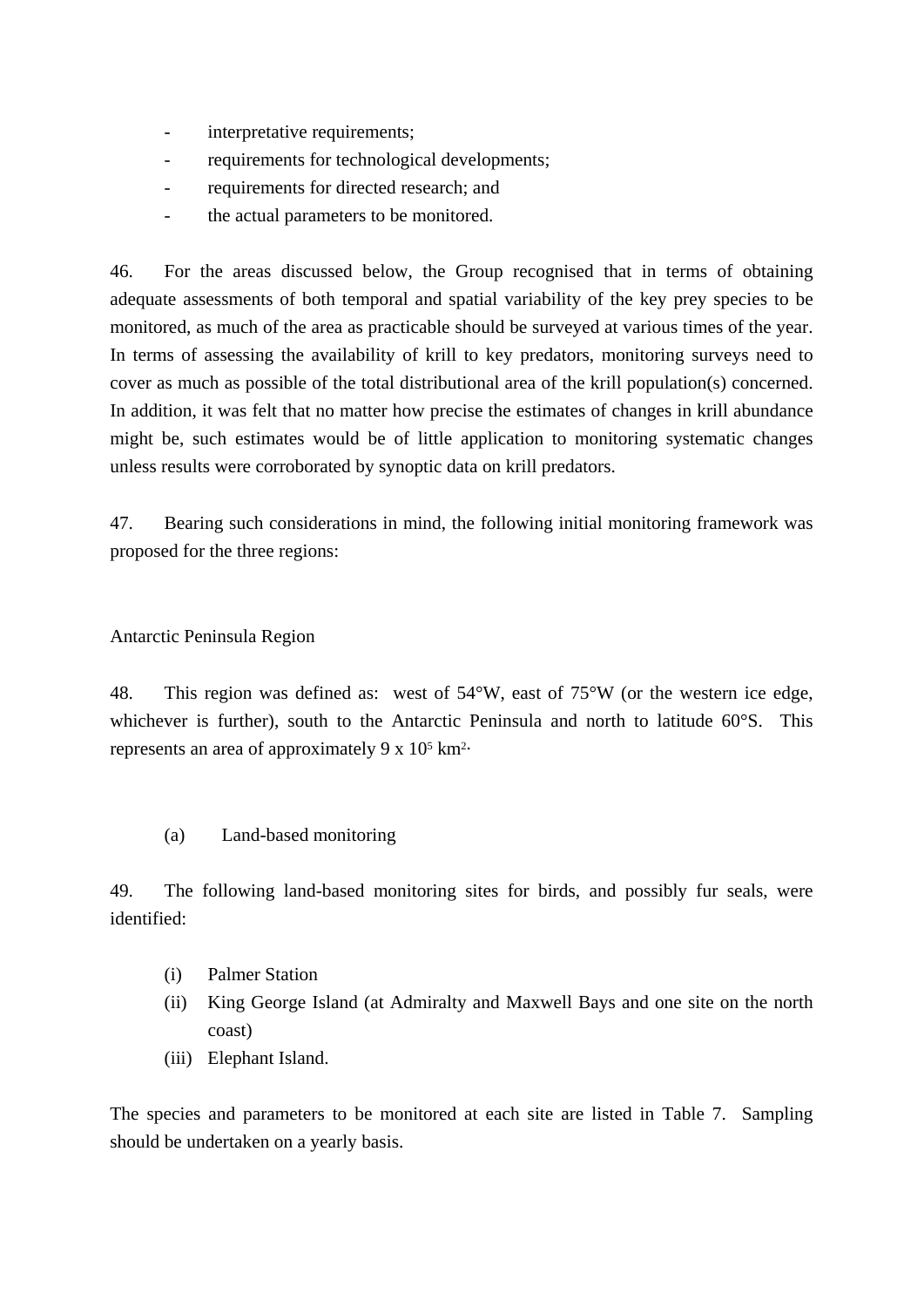- interpretative requirements:
- requirements for technological developments;
- requirements for directed research; and
- the actual parameters to be monitored.

46. For the areas discussed below, the Group recognised that in terms of obtaining adequate assessments of both temporal and spatial variability of the key prey species to be monitored, as much of the area as practicable should be surveyed at various times of the year. In terms of assessing the availability of krill to key predators, monitoring surveys need to cover as much as possible of the total distributional area of the krill population(s) concerned. In addition, it was felt that no matter how precise the estimates of changes in krill abundance might be, such estimates would be of little application to monitoring systematic changes unless results were corroborated by synoptic data on krill predators.

47. Bearing such considerations in mind, the following initial monitoring framework was proposed for the three regions:

### Antarctic Peninsula Region

48. This region was defined as: west of 54°W, east of 75°W (or the western ice edge, whichever is further), south to the Antarctic Peninsula and north to latitude 60°S. This represents an area of approximately 9 x 105 km2.

(a) Land-based monitoring

49. The following land-based monitoring sites for birds, and possibly fur seals, were identified:

- (i) Palmer Station
- (ii) King George Island (at Admiralty and Maxwell Bays and one site on the north coast)
- (iii) Elephant Island.

The species and parameters to be monitored at each site are listed in Table 7. Sampling should be undertaken on a yearly basis.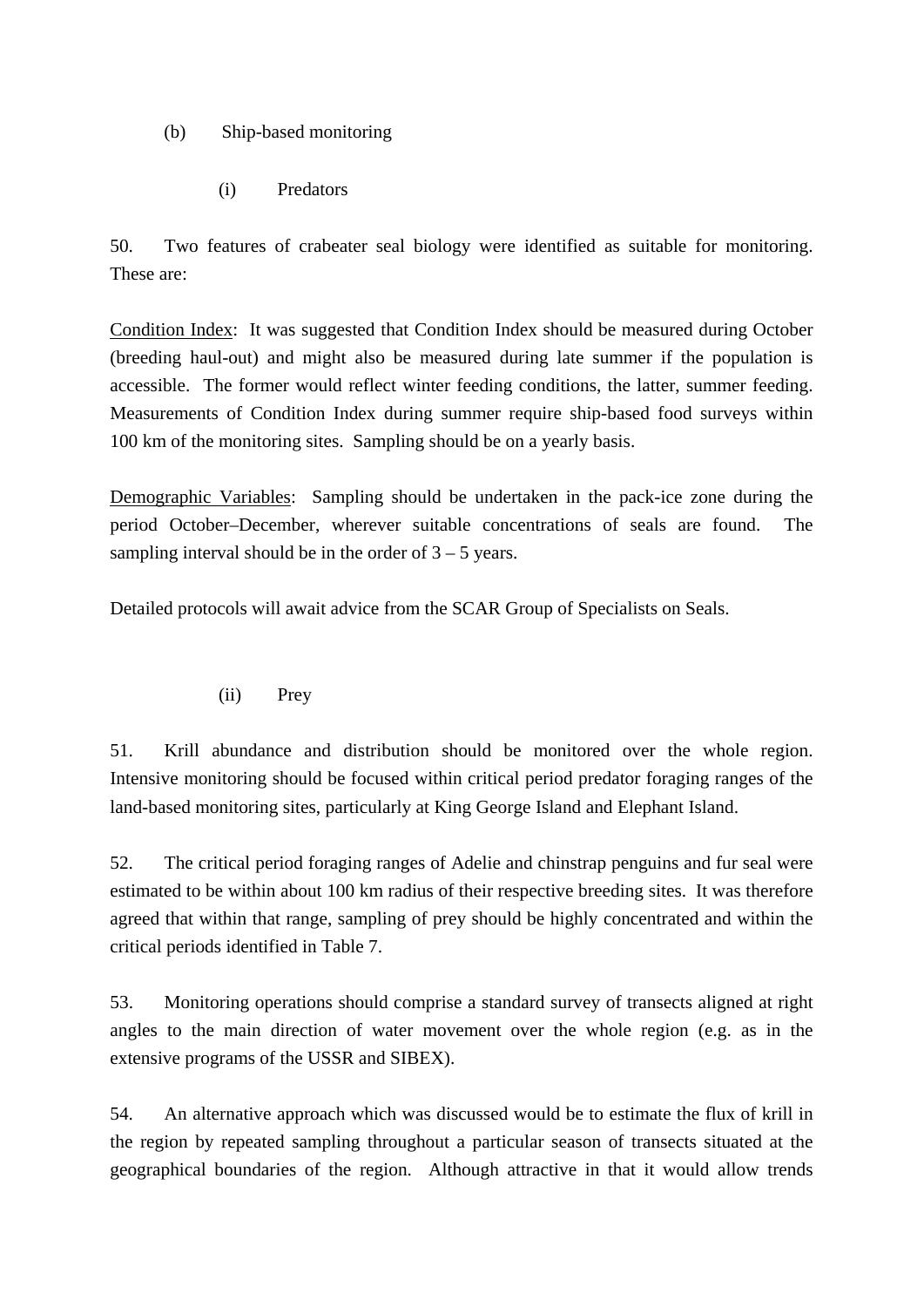- (b) Ship-based monitoring
	- (i) Predators

50. Two features of crabeater seal biology were identified as suitable for monitoring. These are:

Condition Index: It was suggested that Condition Index should be measured during October (breeding haul-out) and might also be measured during late summer if the population is accessible. The former would reflect winter feeding conditions, the latter, summer feeding. Measurements of Condition Index during summer require ship-based food surveys within 100 km of the monitoring sites. Sampling should be on a yearly basis.

Demographic Variables: Sampling should be undertaken in the pack-ice zone during the period October–December, wherever suitable concentrations of seals are found. The sampling interval should be in the order of  $3 - 5$  years.

Detailed protocols will await advice from the SCAR Group of Specialists on Seals.

## (ii) Prey

51. Krill abundance and distribution should be monitored over the whole region. Intensive monitoring should be focused within critical period predator foraging ranges of the land-based monitoring sites, particularly at King George Island and Elephant Island.

52. The critical period foraging ranges of Adelie and chinstrap penguins and fur seal were estimated to be within about 100 km radius of their respective breeding sites. It was therefore agreed that within that range, sampling of prey should be highly concentrated and within the critical periods identified in Table 7.

53. Monitoring operations should comprise a standard survey of transects aligned at right angles to the main direction of water movement over the whole region (e.g. as in the extensive programs of the USSR and SIBEX).

54. An alternative approach which was discussed would be to estimate the flux of krill in the region by repeated sampling throughout a particular season of transects situated at the geographical boundaries of the region. Although attractive in that it would allow trends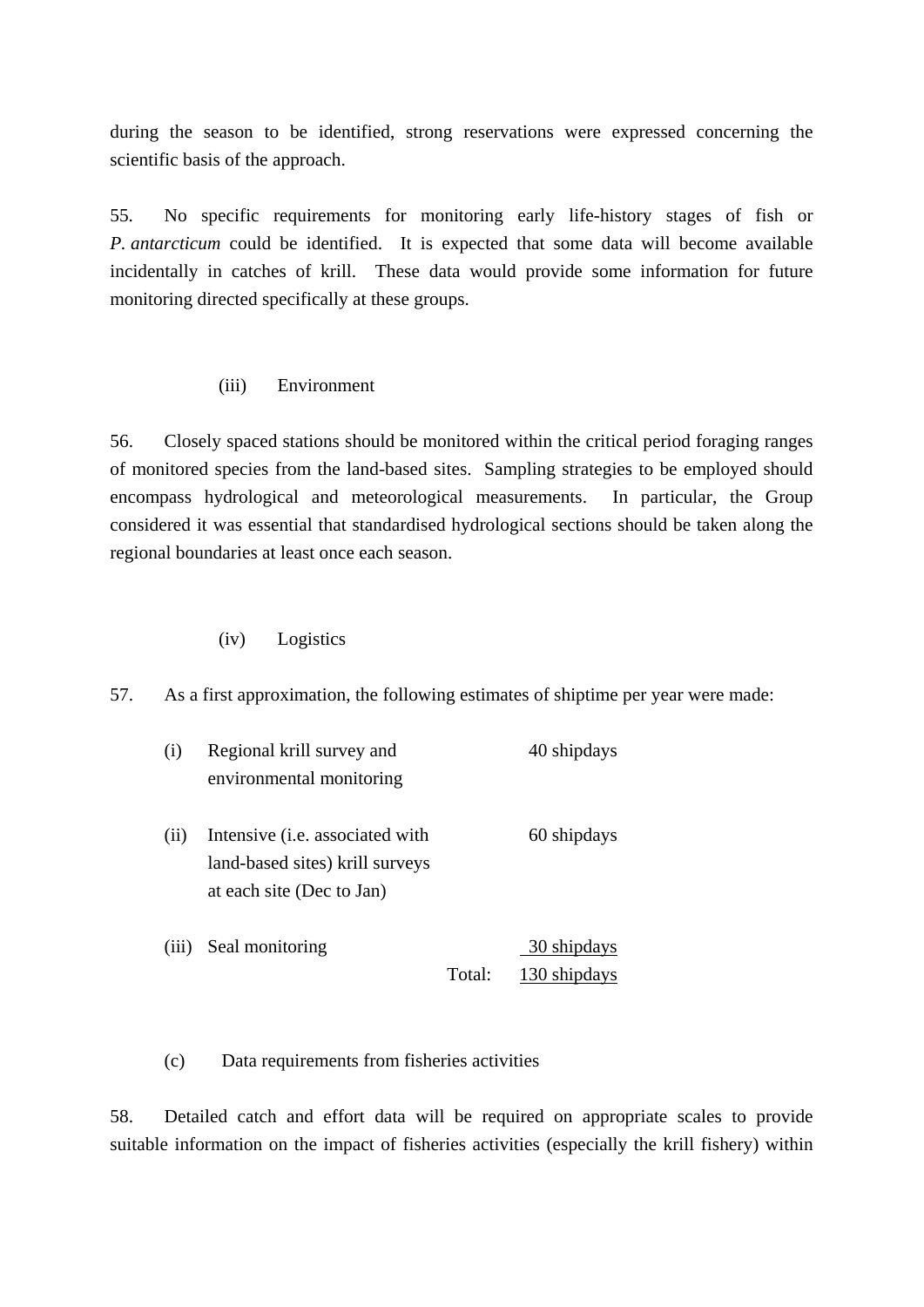during the season to be identified, strong reservations were expressed concerning the scientific basis of the approach.

55. No specific requirements for monitoring early life-history stages of fish or *P. antarcticum* could be identified. It is expected that some data will become available incidentally in catches of krill. These data would provide some information for future monitoring directed specifically at these groups.

### (iii) Environment

56. Closely spaced stations should be monitored within the critical period foraging ranges of monitored species from the land-based sites. Sampling strategies to be employed should encompass hydrological and meteorological measurements. In particular, the Group considered it was essential that standardised hydrological sections should be taken along the regional boundaries at least once each season.

### (iv) Logistics

57. As a first approximation, the following estimates of shiptime per year were made:

| (i)   | Regional krill survey and               |        | 40 shipdays  |
|-------|-----------------------------------------|--------|--------------|
|       | environmental monitoring                |        |              |
|       |                                         |        |              |
| (i)   | Intensive ( <i>i.e.</i> associated with |        | 60 shipdays  |
|       | land-based sites) krill surveys         |        |              |
|       | at each site (Dec to Jan)               |        |              |
|       |                                         |        |              |
| (iii) | Seal monitoring                         |        | 30 shipdays  |
|       |                                         | Total: | 130 shipdays |

(c) Data requirements from fisheries activities

58. Detailed catch and effort data will be required on appropriate scales to provide suitable information on the impact of fisheries activities (especially the krill fishery) within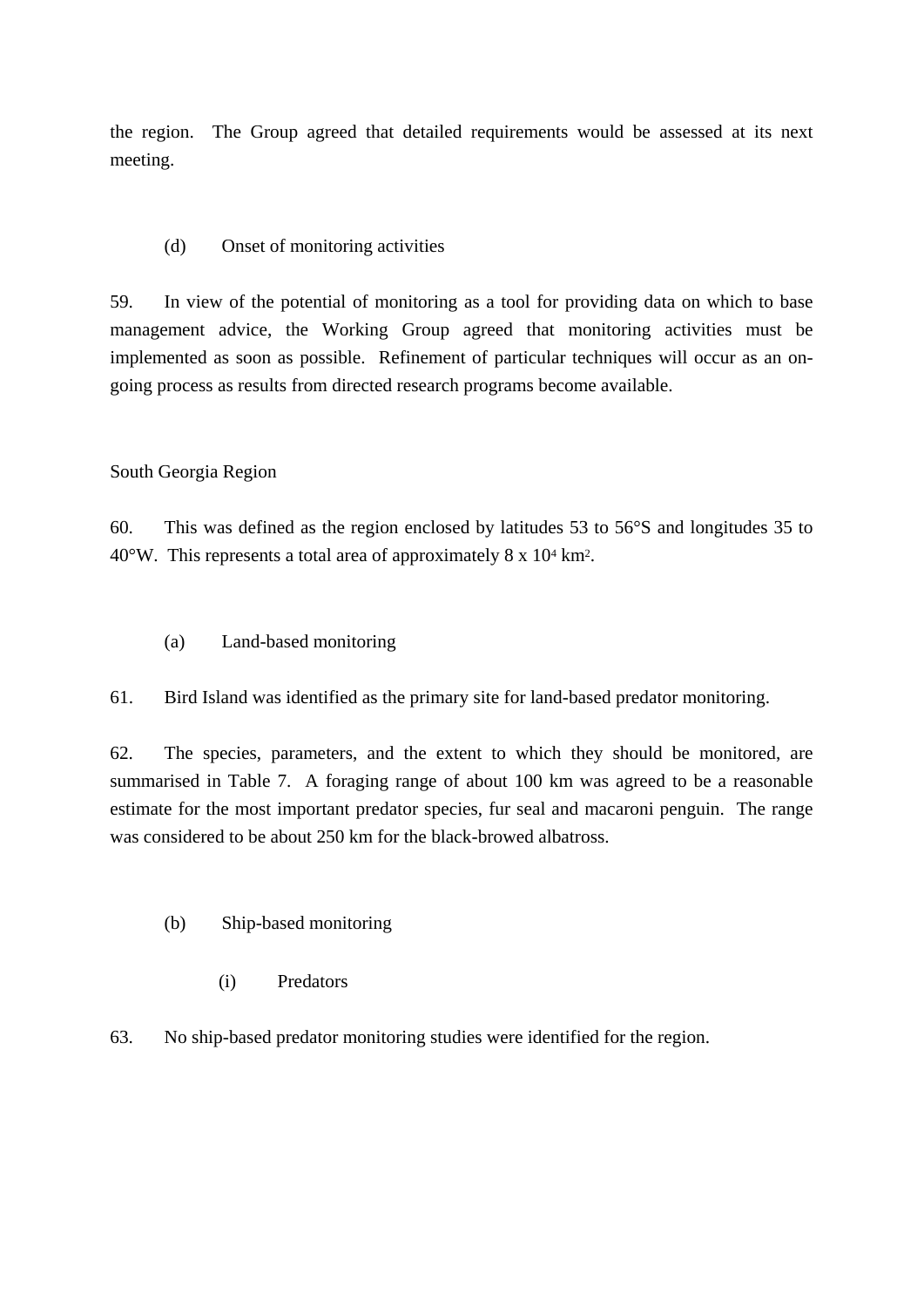the region. The Group agreed that detailed requirements would be assessed at its next meeting.

## (d) Onset of monitoring activities

59. In view of the potential of monitoring as a tool for providing data on which to base management advice, the Working Group agreed that monitoring activities must be implemented as soon as possible. Refinement of particular techniques will occur as an ongoing process as results from directed research programs become available.

### South Georgia Region

60. This was defined as the region enclosed by latitudes 53 to 56°S and longitudes 35 to 40°W. This represents a total area of approximately 8 x 104 km2.

(a) Land-based monitoring

61. Bird Island was identified as the primary site for land-based predator monitoring.

62. The species, parameters, and the extent to which they should be monitored, are summarised in Table 7. A foraging range of about 100 km was agreed to be a reasonable estimate for the most important predator species, fur seal and macaroni penguin. The range was considered to be about 250 km for the black-browed albatross.

- (b) Ship-based monitoring
	- (i) Predators
- 63. No ship-based predator monitoring studies were identified for the region.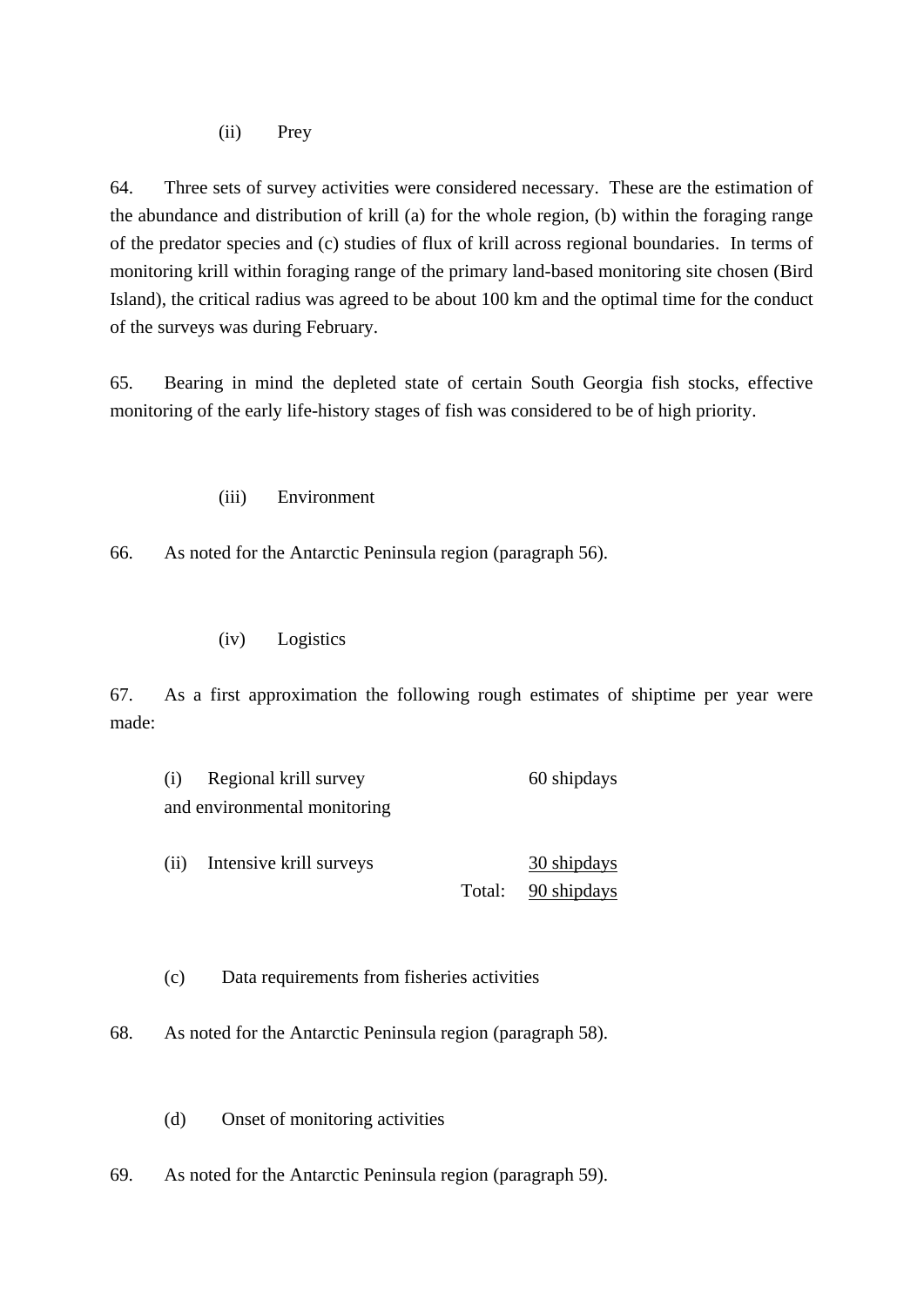(ii) Prey

64. Three sets of survey activities were considered necessary. These are the estimation of the abundance and distribution of krill (a) for the whole region, (b) within the foraging range of the predator species and (c) studies of flux of krill across regional boundaries. In terms of monitoring krill within foraging range of the primary land-based monitoring site chosen (Bird Island), the critical radius was agreed to be about 100 km and the optimal time for the conduct of the surveys was during February.

65. Bearing in mind the depleted state of certain South Georgia fish stocks, effective monitoring of the early life-history stages of fish was considered to be of high priority.

(iii) Environment

66. As noted for the Antarctic Peninsula region (paragraph 56).

### (iv) Logistics

67. As a first approximation the following rough estimates of shiptime per year were made:

| (i) | Regional krill survey        | 60 shipdays |
|-----|------------------------------|-------------|
|     | and environmental monitoring |             |

(ii) Intensive krill surveys 30 shipdays Total: 90 shipdays

(c) Data requirements from fisheries activities

68. As noted for the Antarctic Peninsula region (paragraph 58).

(d) Onset of monitoring activities

69. As noted for the Antarctic Peninsula region (paragraph 59).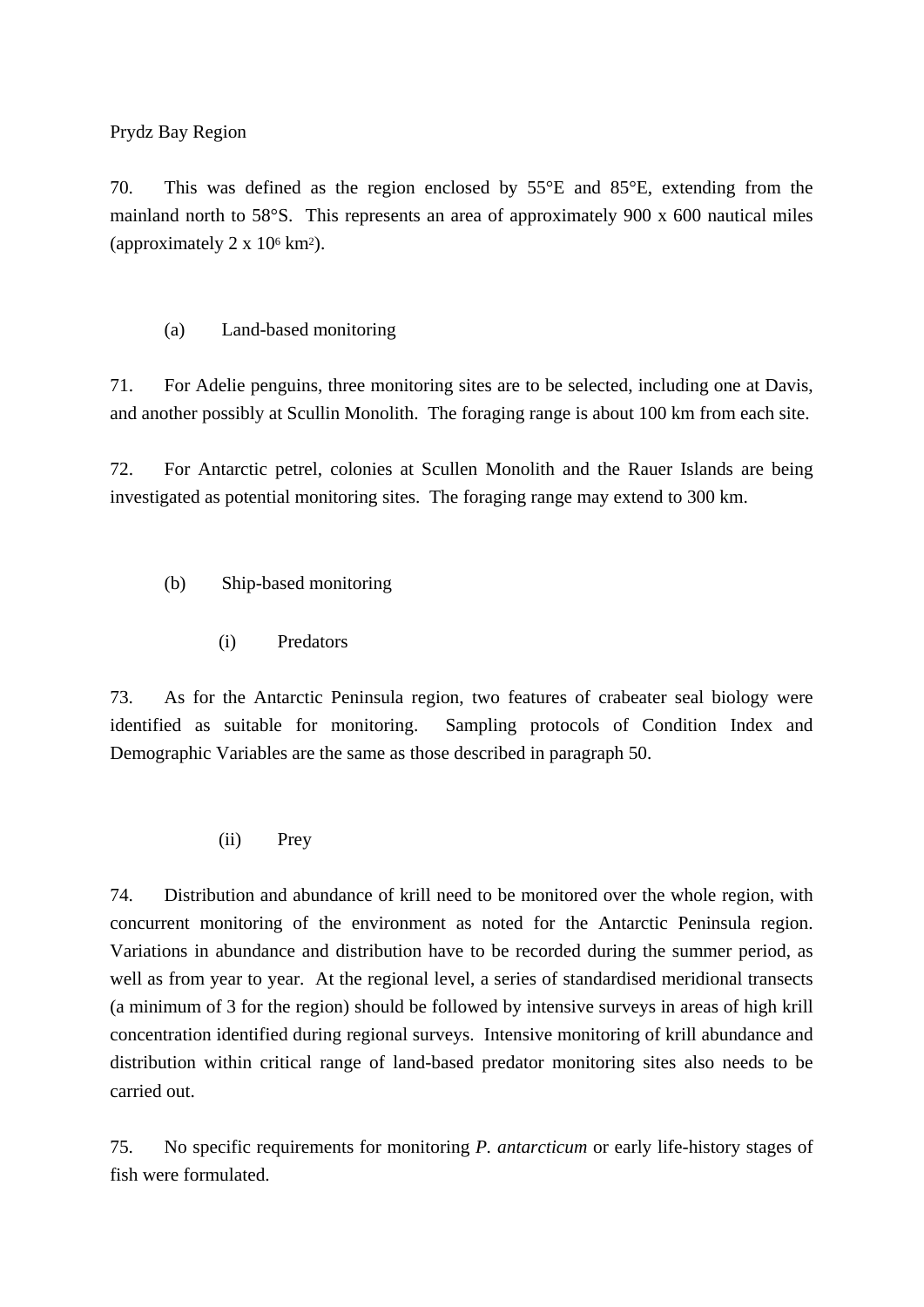Prydz Bay Region

70. This was defined as the region enclosed by 55°E and 85°E, extending from the mainland north to 58°S. This represents an area of approximately 900 x 600 nautical miles (approximately  $2 \times 10^6$  km<sup>2</sup>).

(a) Land-based monitoring

71. For Adelie penguins, three monitoring sites are to be selected, including one at Davis, and another possibly at Scullin Monolith. The foraging range is about 100 km from each site.

72. For Antarctic petrel, colonies at Scullen Monolith and the Rauer Islands are being investigated as potential monitoring sites. The foraging range may extend to 300 km.

- (b) Ship-based monitoring
	- (i) Predators

73. As for the Antarctic Peninsula region, two features of crabeater seal biology were identified as suitable for monitoring. Sampling protocols of Condition Index and Demographic Variables are the same as those described in paragraph 50.

(ii) Prey

74. Distribution and abundance of krill need to be monitored over the whole region, with concurrent monitoring of the environment as noted for the Antarctic Peninsula region. Variations in abundance and distribution have to be recorded during the summer period, as well as from year to year. At the regional level, a series of standardised meridional transects (a minimum of 3 for the region) should be followed by intensive surveys in areas of high krill concentration identified during regional surveys. Intensive monitoring of krill abundance and distribution within critical range of land-based predator monitoring sites also needs to be carried out.

75. No specific requirements for monitoring *P. antarcticum* or early life-history stages of fish were formulated.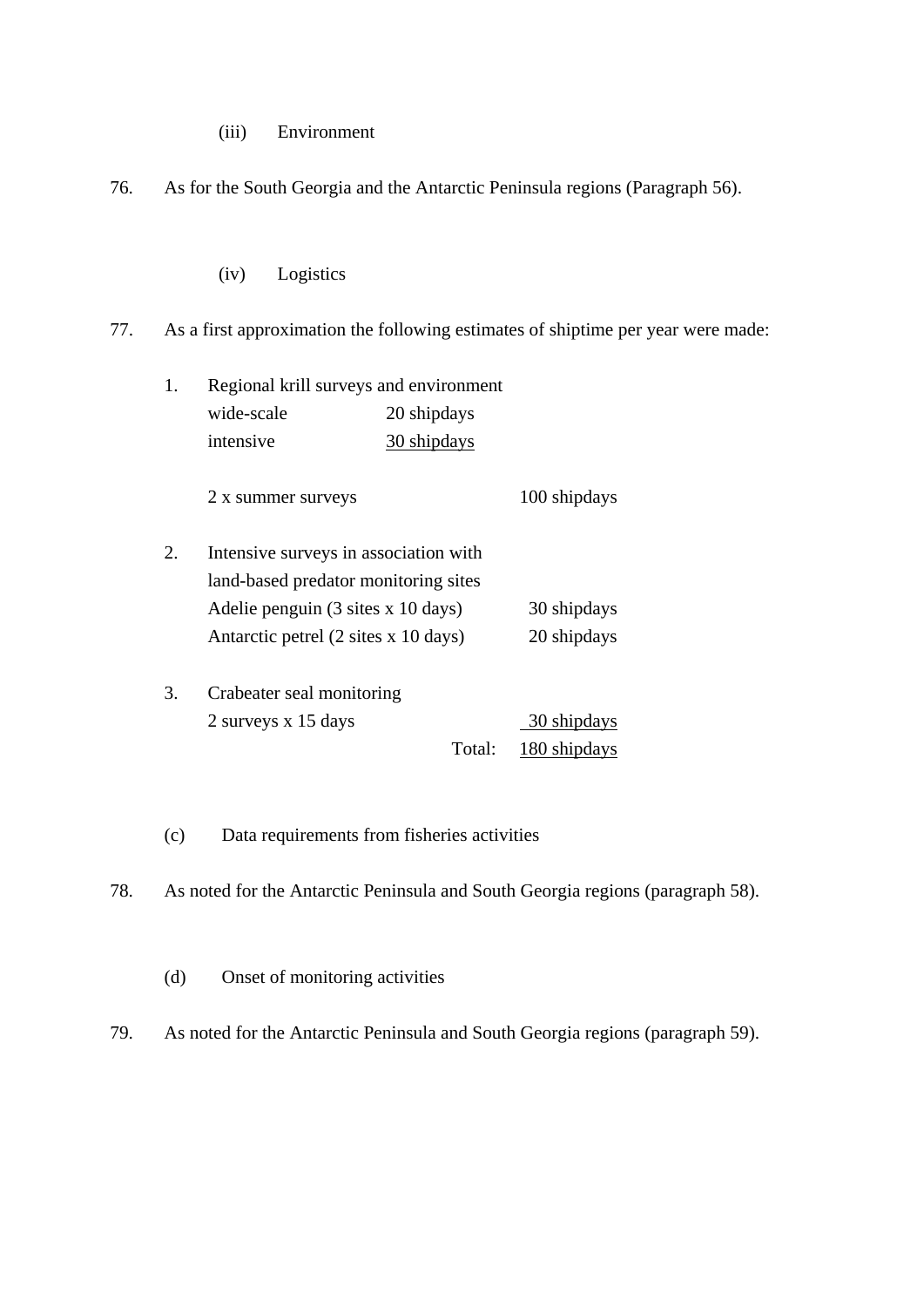(iii) Environment

76. As for the South Georgia and the Antarctic Peninsula regions (Paragraph 56).

(iv) Logistics

77. As a first approximation the following estimates of shiptime per year were made:

| 1. | Regional krill surveys and environment                |             |              |  |  |  |
|----|-------------------------------------------------------|-------------|--------------|--|--|--|
|    | wide-scale                                            | 20 shipdays |              |  |  |  |
|    | intensive                                             | 30 shipdays |              |  |  |  |
|    | 2 x summer surveys                                    |             | 100 shipdays |  |  |  |
| 2. | Intensive surveys in association with                 |             |              |  |  |  |
|    | land-based predator monitoring sites                  |             |              |  |  |  |
|    | Adelie penguin $(3 \text{ sites } x 10 \text{ days})$ |             | 30 shipdays  |  |  |  |
|    | Antarctic petrel (2 sites x 10 days)                  |             | 20 shipdays  |  |  |  |
| 3. | Crabeater seal monitoring                             |             |              |  |  |  |
|    | 2 surveys x 15 days                                   |             | 30 shipdays  |  |  |  |
|    |                                                       | Total:      | 180 shipdays |  |  |  |

(c) Data requirements from fisheries activities

78. As noted for the Antarctic Peninsula and South Georgia regions (paragraph 58).

(d) Onset of monitoring activities

79. As noted for the Antarctic Peninsula and South Georgia regions (paragraph 59).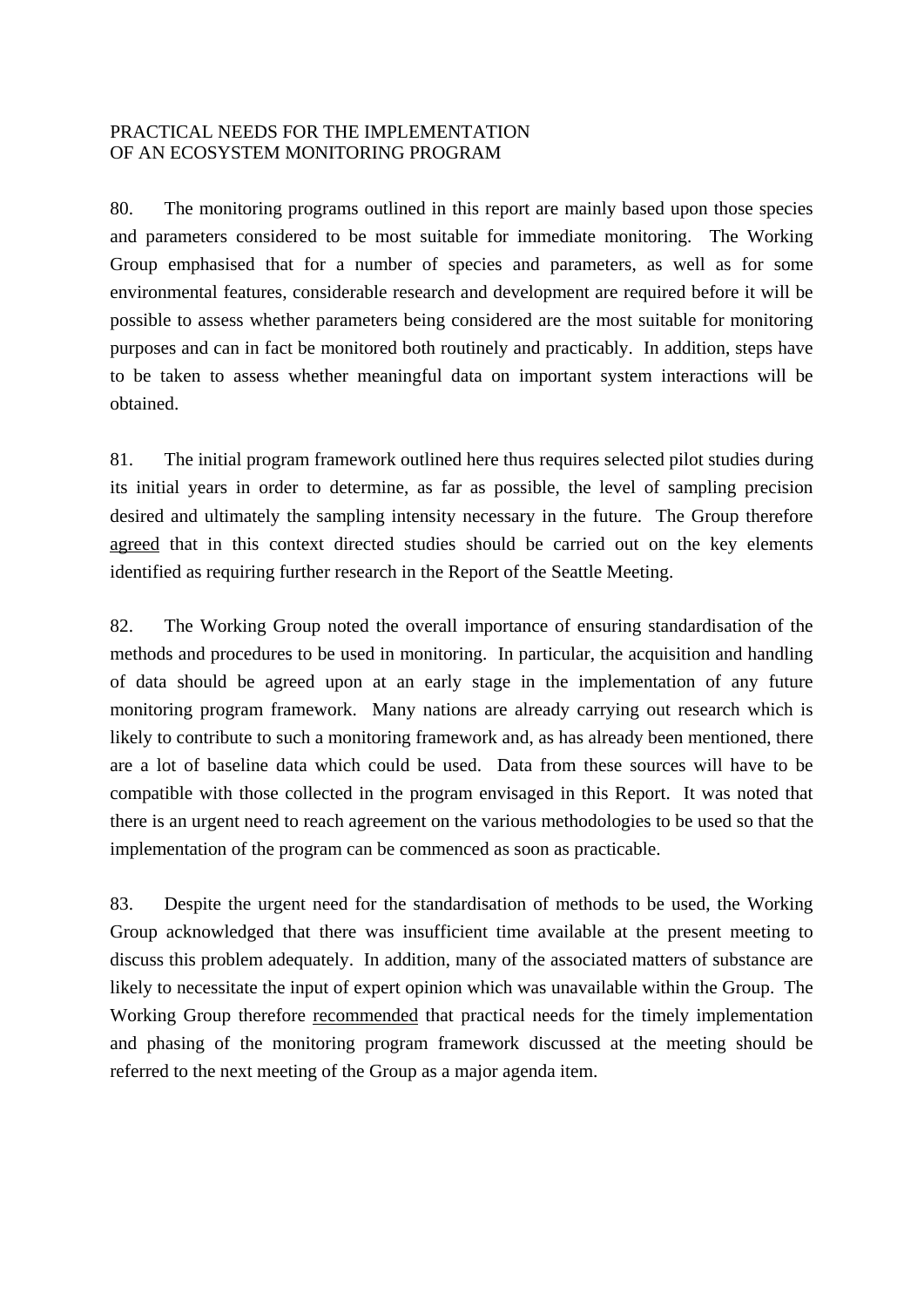### PRACTICAL NEEDS FOR THE IMPLEMENTATION OF AN ECOSYSTEM MONITORING PROGRAM

80. The monitoring programs outlined in this report are mainly based upon those species and parameters considered to be most suitable for immediate monitoring. The Working Group emphasised that for a number of species and parameters, as well as for some environmental features, considerable research and development are required before it will be possible to assess whether parameters being considered are the most suitable for monitoring purposes and can in fact be monitored both routinely and practicably. In addition, steps have to be taken to assess whether meaningful data on important system interactions will be obtained.

81. The initial program framework outlined here thus requires selected pilot studies during its initial years in order to determine, as far as possible, the level of sampling precision desired and ultimately the sampling intensity necessary in the future. The Group therefore agreed that in this context directed studies should be carried out on the key elements identified as requiring further research in the Report of the Seattle Meeting.

82. The Working Group noted the overall importance of ensuring standardisation of the methods and procedures to be used in monitoring. In particular, the acquisition and handling of data should be agreed upon at an early stage in the implementation of any future monitoring program framework. Many nations are already carrying out research which is likely to contribute to such a monitoring framework and, as has already been mentioned, there are a lot of baseline data which could be used. Data from these sources will have to be compatible with those collected in the program envisaged in this Report. It was noted that there is an urgent need to reach agreement on the various methodologies to be used so that the implementation of the program can be commenced as soon as practicable.

83. Despite the urgent need for the standardisation of methods to be used, the Working Group acknowledged that there was insufficient time available at the present meeting to discuss this problem adequately. In addition, many of the associated matters of substance are likely to necessitate the input of expert opinion which was unavailable within the Group. The Working Group therefore recommended that practical needs for the timely implementation and phasing of the monitoring program framework discussed at the meeting should be referred to the next meeting of the Group as a major agenda item.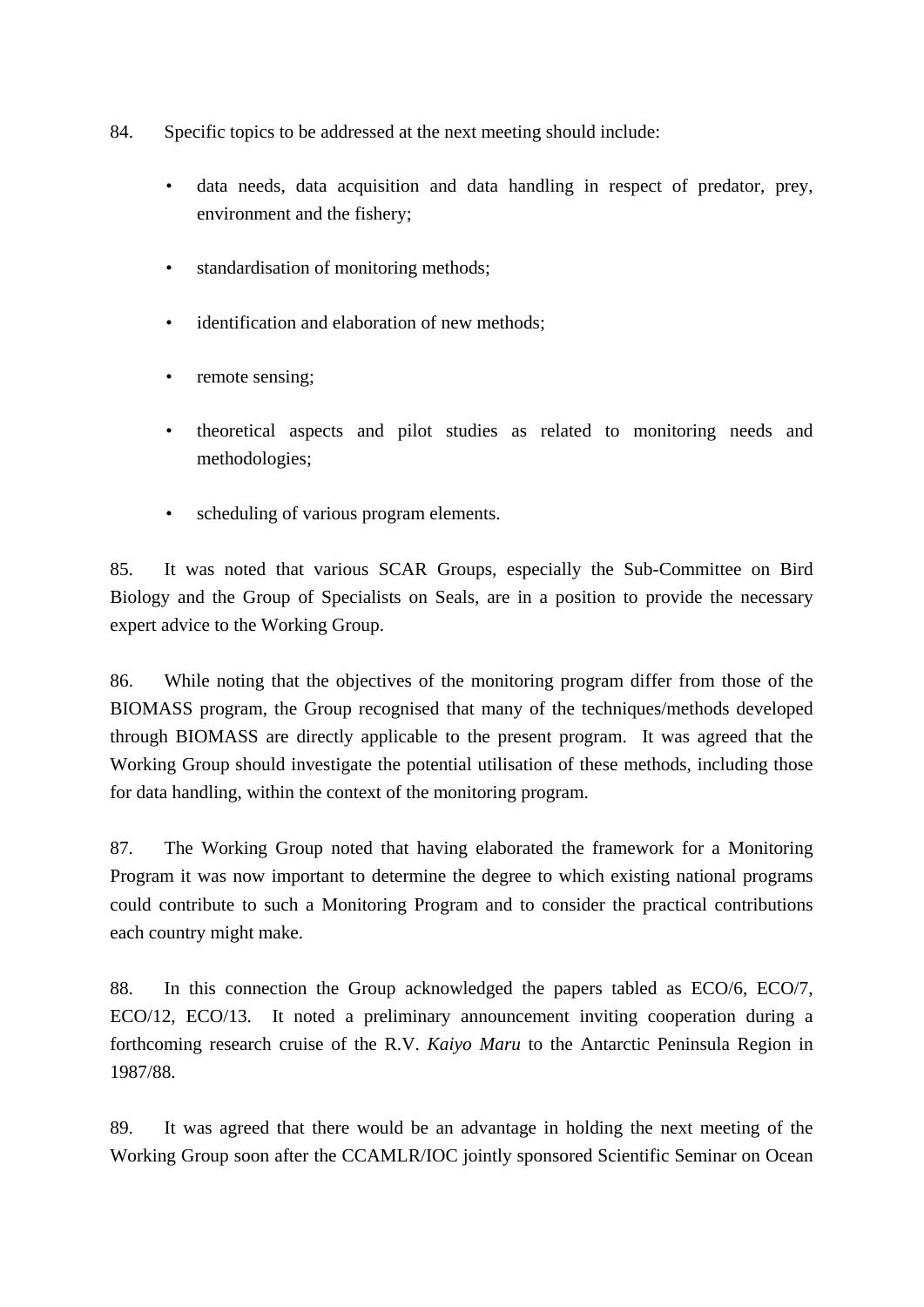- 84. Specific topics to be addressed at the next meeting should include:
	- data needs, data acquisition and data handling in respect of predator, prey, environment and the fishery;
	- standardisation of monitoring methods;
	- identification and elaboration of new methods:
	- remote sensing;
	- theoretical aspects and pilot studies as related to monitoring needs and methodologies;
	- scheduling of various program elements.

85. It was noted that various SCAR Groups, especially the Sub-Committee on Bird Biology and the Group of Specialists on Seals, are in a position to provide the necessary expert advice to the Working Group.

86. While noting that the objectives of the monitoring program differ from those of the BIOMASS program, the Group recognised that many of the techniques/methods developed through BIOMASS are directly applicable to the present program. It was agreed that the Working Group should investigate the potential utilisation of these methods, including those for data handling, within the context of the monitoring program.

87. The Working Group noted that having elaborated the framework for a Monitoring Program it was now important to determine the degree to which existing national programs could contribute to such a Monitoring Program and to consider the practical contributions each country might make.

88. In this connection the Group acknowledged the papers tabled as ECO/6, ECO/7, ECO/12, ECO/13. It noted a preliminary announcement inviting cooperation during a forthcoming research cruise of the R.V. *Kaiyo Maru* to the Antarctic Peninsula Region in 1987/88.

89. It was agreed that there would be an advantage in holding the next meeting of the Working Group soon after the CCAMLR/IOC jointly sponsored Scientific Seminar on Ocean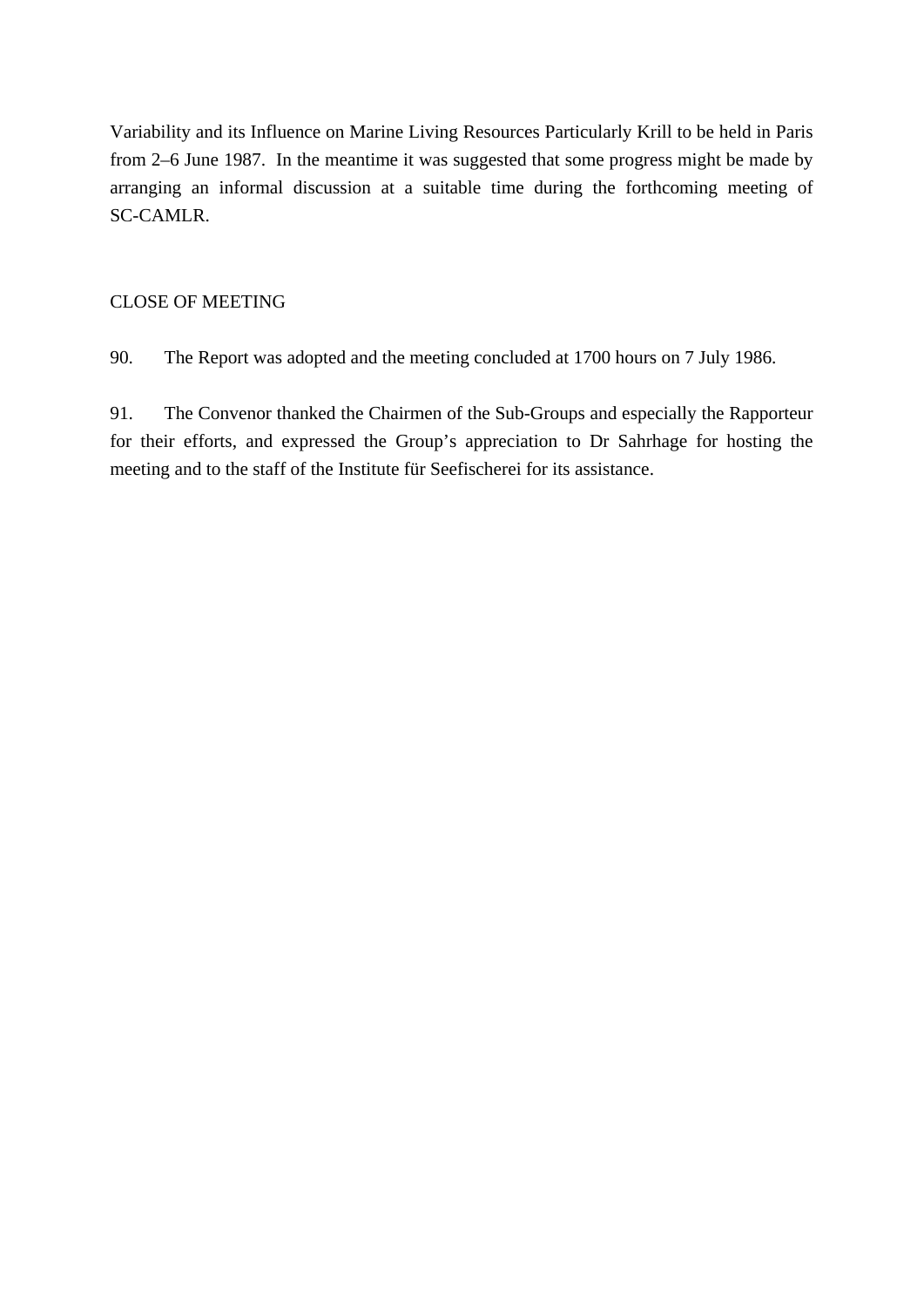Variability and its Influence on Marine Living Resources Particularly Krill to be held in Paris from 2–6 June 1987. In the meantime it was suggested that some progress might be made by arranging an informal discussion at a suitable time during the forthcoming meeting of SC-CAMLR.

### CLOSE OF MEETING

90. The Report was adopted and the meeting concluded at 1700 hours on 7 July 1986.

91. The Convenor thanked the Chairmen of the Sub-Groups and especially the Rapporteur for their efforts, and expressed the Group's appreciation to Dr Sahrhage for hosting the meeting and to the staff of the Institute für Seefischerei for its assistance.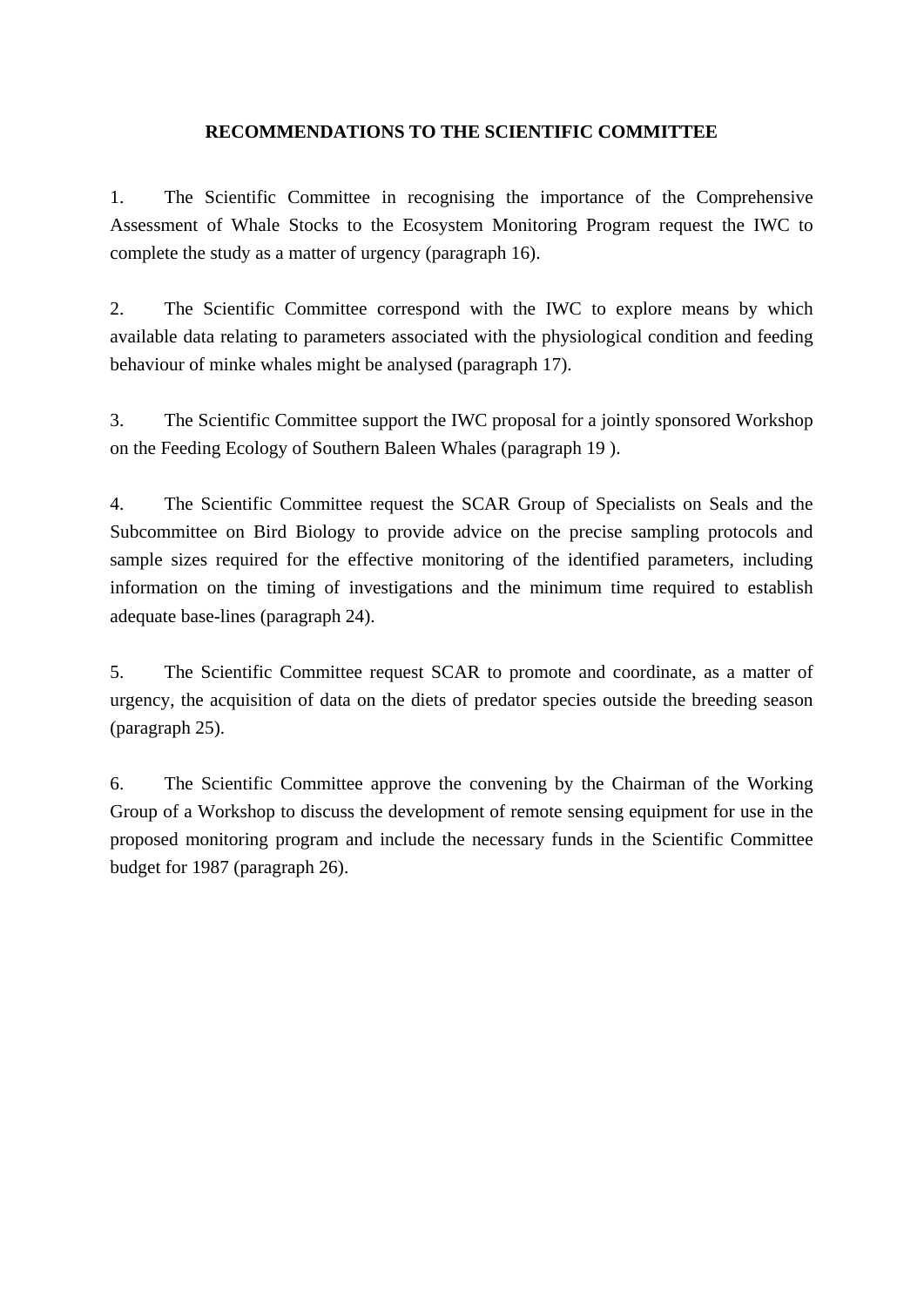### **RECOMMENDATIONS TO THE SCIENTIFIC COMMITTEE**

1. The Scientific Committee in recognising the importance of the Comprehensive Assessment of Whale Stocks to the Ecosystem Monitoring Program request the IWC to complete the study as a matter of urgency (paragraph 16).

2. The Scientific Committee correspond with the IWC to explore means by which available data relating to parameters associated with the physiological condition and feeding behaviour of minke whales might be analysed (paragraph 17).

3. The Scientific Committee support the IWC proposal for a jointly sponsored Workshop on the Feeding Ecology of Southern Baleen Whales (paragraph 19 ).

4. The Scientific Committee request the SCAR Group of Specialists on Seals and the Subcommittee on Bird Biology to provide advice on the precise sampling protocols and sample sizes required for the effective monitoring of the identified parameters, including information on the timing of investigations and the minimum time required to establish adequate base-lines (paragraph 24).

5. The Scientific Committee request SCAR to promote and coordinate, as a matter of urgency, the acquisition of data on the diets of predator species outside the breeding season (paragraph 25).

6. The Scientific Committee approve the convening by the Chairman of the Working Group of a Workshop to discuss the development of remote sensing equipment for use in the proposed monitoring program and include the necessary funds in the Scientific Committee budget for 1987 (paragraph 26).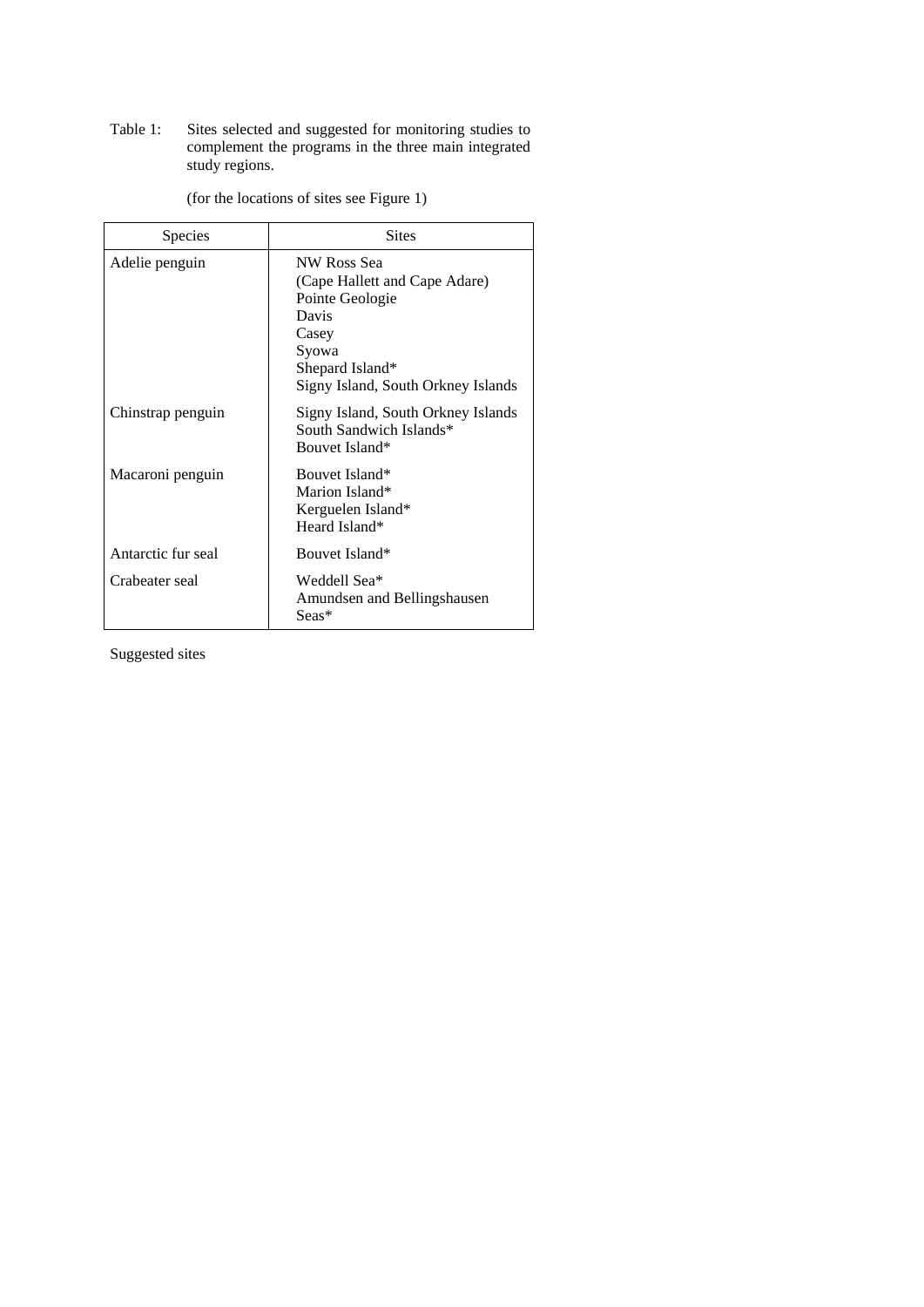Table 1: Sites selected and suggested for monitoring studies to complement the programs in the three main integrated study regions.

| Species            | <b>Sites</b>                                                                                                                                        |
|--------------------|-----------------------------------------------------------------------------------------------------------------------------------------------------|
| Adelie penguin     | NW Ross Sea<br>(Cape Hallett and Cape Adare)<br>Pointe Geologie<br>Davis<br>Casey<br>Syowa<br>Shepard Island*<br>Signy Island, South Orkney Islands |
| Chinstrap penguin  | Signy Island, South Orkney Islands<br>South Sandwich Islands*<br>Bouvet Island*                                                                     |
| Macaroni penguin   | Bouvet Island*<br>Marion Island*<br>Kerguelen Island*<br>Heard Island*                                                                              |
| Antarctic fur seal | Bouvet Island*                                                                                                                                      |
| Crabeater seal     | Weddell Sea*<br>Amundsen and Bellingshausen<br>Seas*                                                                                                |

(for the locations of sites see Figure 1)

Suggested sites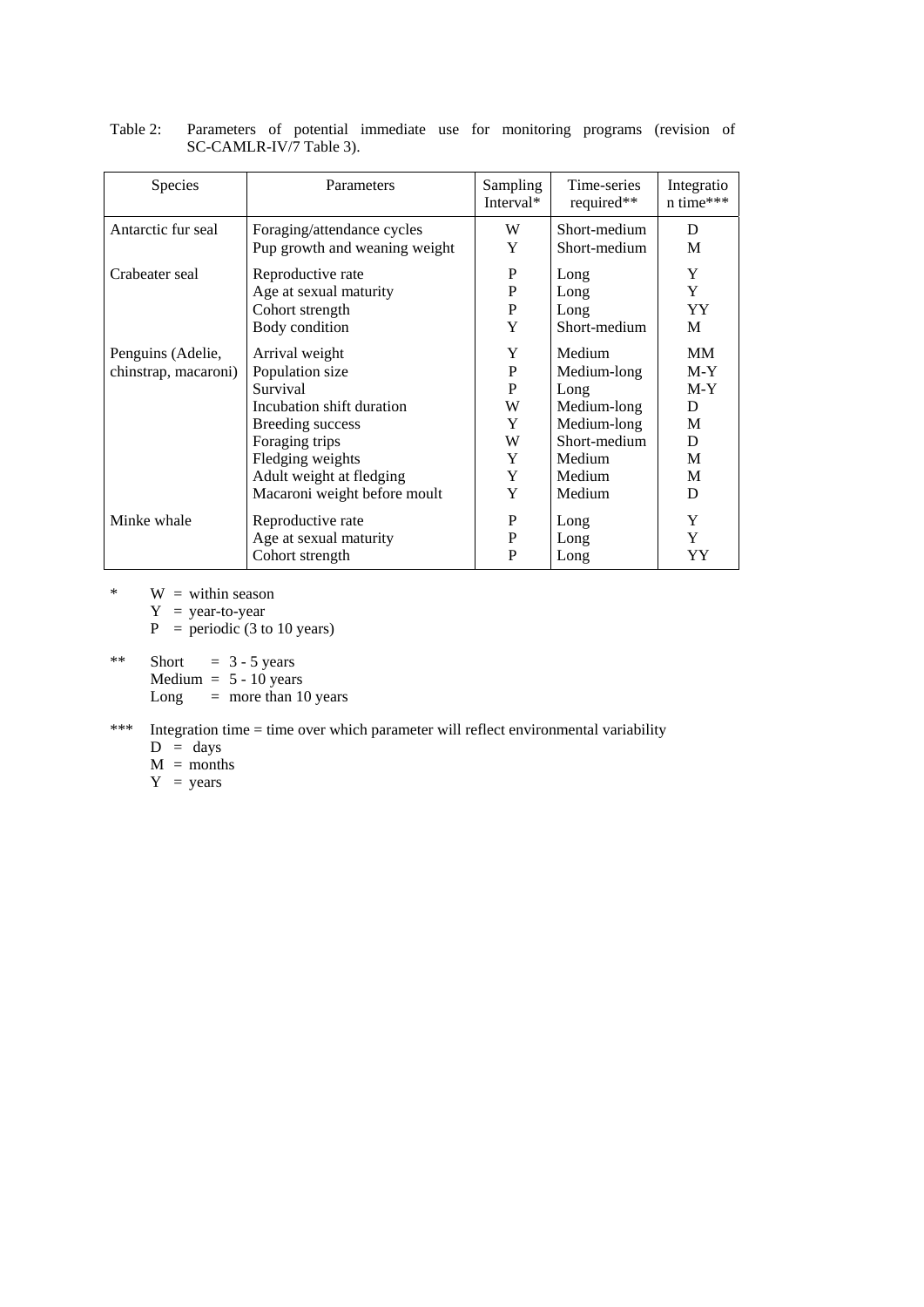| Species              | Parameters                    | Sampling<br>Interval* | Time-series<br>required** | Integratio<br>n time*** |
|----------------------|-------------------------------|-----------------------|---------------------------|-------------------------|
| Antarctic fur seal   | Foraging/attendance cycles    | W                     | Short-medium              | D                       |
|                      | Pup growth and weaning weight | Y                     | Short-medium              | M                       |
| Crabeater seal       | Reproductive rate             | P                     | Long                      | Y                       |
|                      | Age at sexual maturity        | P                     | Long                      | Y                       |
|                      | Cohort strength               | P                     | Long                      | YY.                     |
|                      | Body condition                | Y                     | Short-medium              | M                       |
| Penguins (Adelie,    | Arrival weight                | Y                     | Medium                    | MM                      |
| chinstrap, macaroni) | Population size               | P                     | Medium-long               | $M-Y$                   |
|                      | Survival                      | P                     | Long                      | $M-Y$                   |
|                      | Incubation shift duration     | W                     | Medium-long               | D                       |
|                      | Breeding success              | Y                     | Medium-long               | M                       |
|                      | Foraging trips                | W                     | Short-medium              | D                       |
|                      | Fledging weights              | Y                     | Medium                    | M                       |
|                      | Adult weight at fledging      | Y                     | Medium                    | M                       |
|                      | Macaroni weight before moult  | Y                     | Medium                    | D                       |
| Minke whale          | Reproductive rate             | P                     | Long                      | Y                       |
|                      | Age at sexual maturity        | P                     | Long                      | Y                       |
|                      | Cohort strength               | P                     | Long                      | YY                      |

| Table 2: Parameters of potential immediate use for monitoring programs (revision of |  |  |  |  |  |
|-------------------------------------------------------------------------------------|--|--|--|--|--|
| SC-CAMLR-IV/7 Table 3).                                                             |  |  |  |  |  |

\* W = within season

 $Y = year-to-year$ 

 $P =$  periodic (3 to 10 years)

\*\* Short  $= 3 - 5$  years Medium  $= 5 - 10$  years Long  $=$  more than 10 years

### \*\*\* Integration time = time over which parameter will reflect environmental variability

- $D = days$
- $M =$ months
- $Y = years$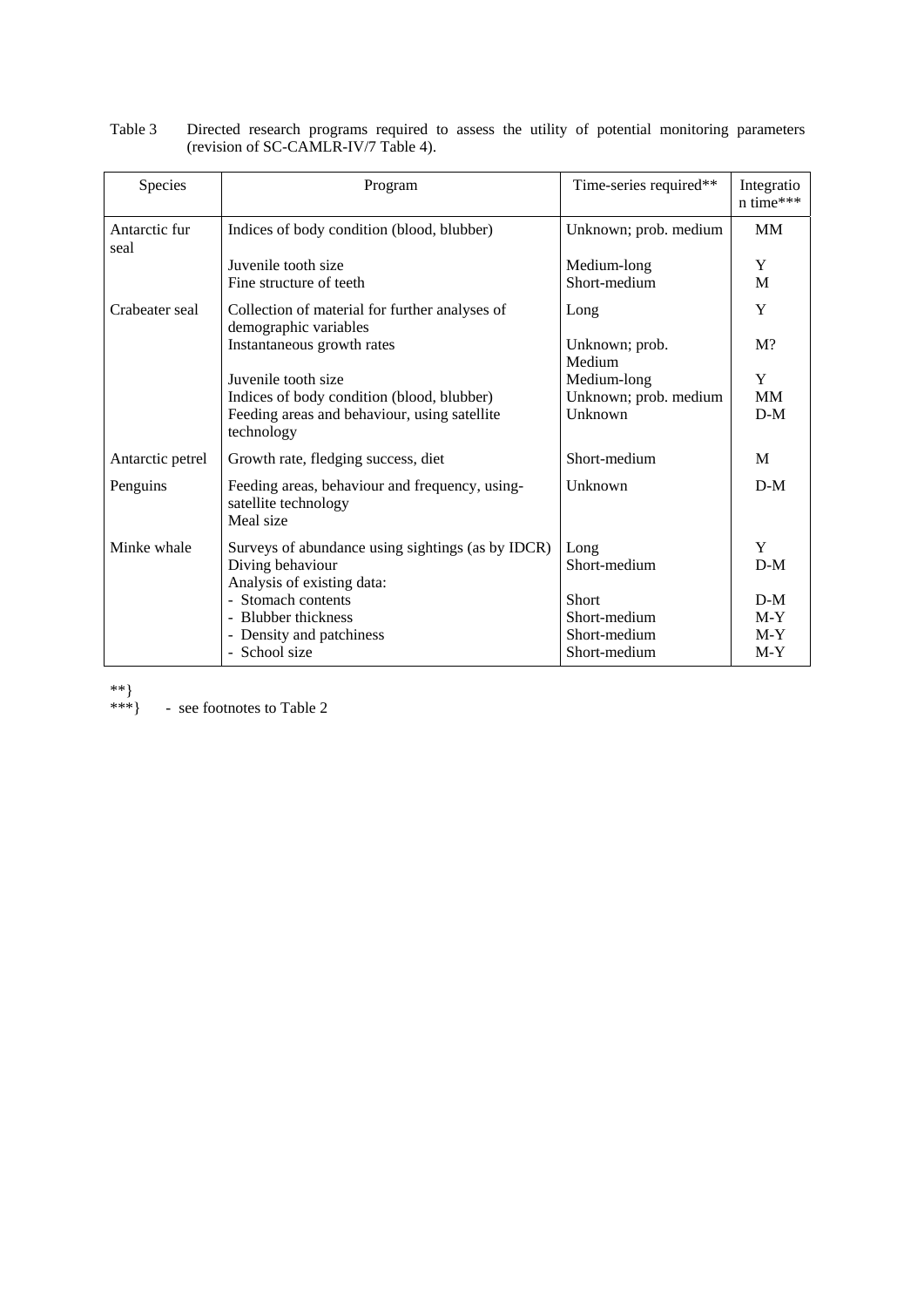| Species               | Program                                                                             | Time-series required**   | Integratio<br>n time*** |
|-----------------------|-------------------------------------------------------------------------------------|--------------------------|-------------------------|
| Antarctic fur<br>seal | Indices of body condition (blood, blubber)                                          | Unknown; prob. medium    | <b>MM</b>               |
|                       | Juvenile tooth size                                                                 | Medium-long              | Y                       |
|                       | Fine structure of teeth                                                             | Short-medium             | M                       |
| Crabeater seal        | Collection of material for further analyses of<br>demographic variables             | Long                     | Y                       |
|                       | Instantaneous growth rates                                                          | Unknown; prob.<br>Medium | $M$ ?                   |
|                       | Juvenile tooth size                                                                 | Medium-long              | Y                       |
|                       | Indices of body condition (blood, blubber)                                          | Unknown; prob. medium    | MM                      |
|                       | Feeding areas and behaviour, using satellite<br>technology                          | Unknown                  | $D-M$                   |
| Antarctic petrel      | Growth rate, fledging success, diet                                                 | Short-medium             | M                       |
| Penguins              | Feeding areas, behaviour and frequency, using-<br>satellite technology<br>Meal size | Unknown                  | $D-M$                   |
| Minke whale           | Surveys of abundance using sightings (as by IDCR)                                   | Long                     | Y                       |
|                       | Diving behaviour<br>Analysis of existing data:                                      | Short-medium             | $D-M$                   |
|                       | - Stomach contents                                                                  | <b>Short</b>             | $D-M$                   |
|                       | - Blubber thickness                                                                 | Short-medium             | $M-Y$                   |
|                       | Density and patchiness                                                              | Short-medium             | $M-Y$                   |
|                       | - School size                                                                       | Short-medium             | $M-Y$                   |

Table 3 Directed research programs required to assess the utility of potential monitoring parameters (revision of SC-CAMLR-IV/7 Table 4).

\*\*}<br>\*\*\*} - see footnotes to Table 2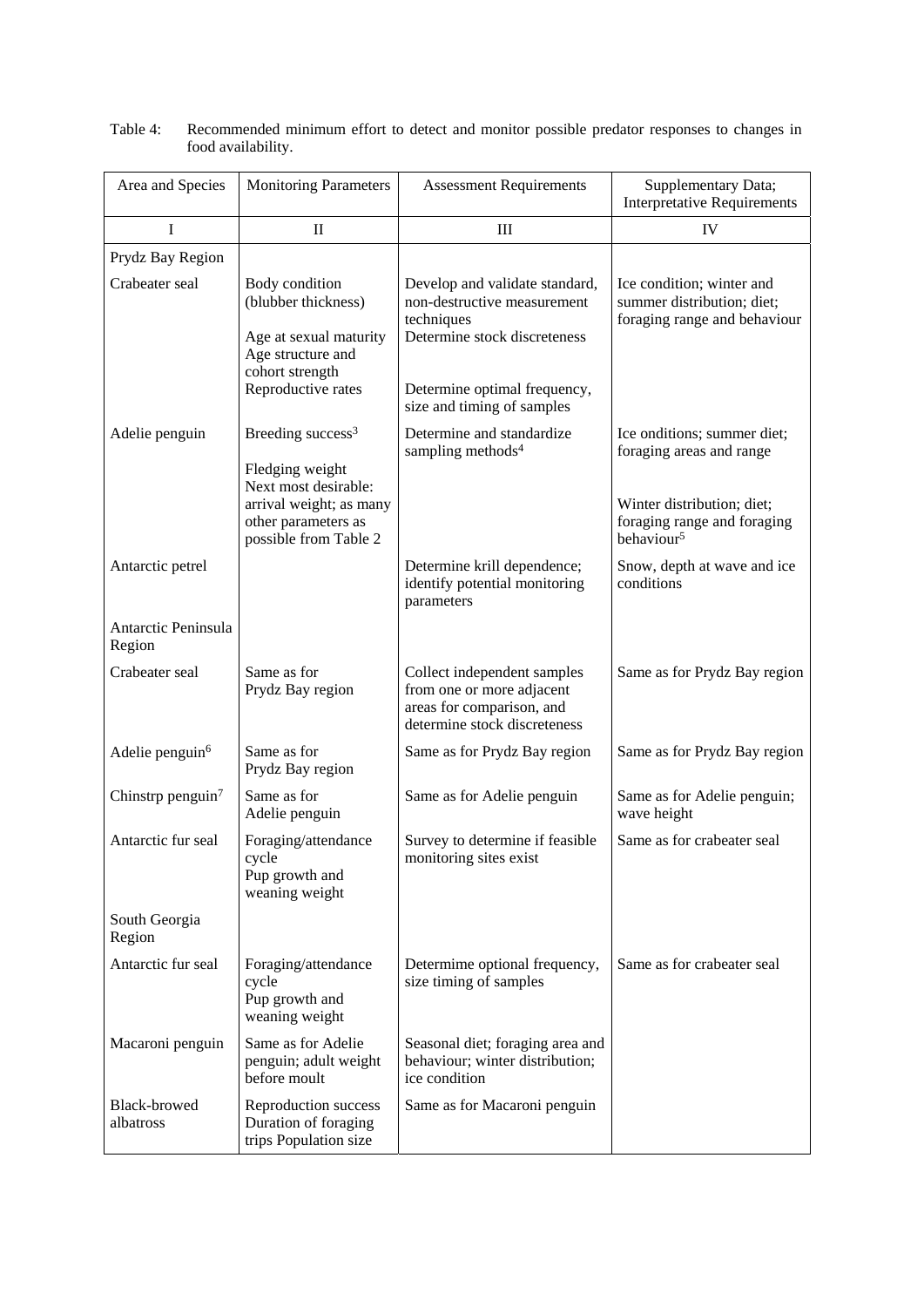| Area and Species              | <b>Monitoring Parameters</b>                                                                                                  | <b>Assessment Requirements</b>                                                                                                              | Supplementary Data;<br><b>Interpretative Requirements</b>                                                            |
|-------------------------------|-------------------------------------------------------------------------------------------------------------------------------|---------------------------------------------------------------------------------------------------------------------------------------------|----------------------------------------------------------------------------------------------------------------------|
| I                             | $\mathbf{I}$                                                                                                                  | Ш                                                                                                                                           | IV                                                                                                                   |
| Prydz Bay Region              |                                                                                                                               |                                                                                                                                             |                                                                                                                      |
| Crabeater seal                | Body condition<br>(blubber thickness)<br>Age at sexual maturity<br>Age structure and<br>cohort strength<br>Reproductive rates | Develop and validate standard,<br>non-destructive measurement<br>techniques<br>Determine stock discreteness<br>Determine optimal frequency, | Ice condition; winter and<br>summer distribution; diet;<br>foraging range and behaviour                              |
|                               |                                                                                                                               | size and timing of samples                                                                                                                  |                                                                                                                      |
| Adelie penguin                | Breeding success <sup>3</sup><br>Fledging weight<br>Next most desirable:<br>arrival weight; as many<br>other parameters as    | Determine and standardize<br>sampling methods <sup>4</sup>                                                                                  | Ice onditions; summer diet;<br>foraging areas and range<br>Winter distribution; diet;<br>foraging range and foraging |
|                               | possible from Table 2                                                                                                         |                                                                                                                                             | behaviour <sup>5</sup>                                                                                               |
| Antarctic petrel              |                                                                                                                               | Determine krill dependence;<br>identify potential monitoring<br>parameters                                                                  | Snow, depth at wave and ice<br>conditions                                                                            |
| Antarctic Peninsula<br>Region |                                                                                                                               |                                                                                                                                             |                                                                                                                      |
| Crabeater seal                | Same as for<br>Prydz Bay region                                                                                               | Collect independent samples<br>from one or more adjacent<br>areas for comparison, and<br>determine stock discreteness                       | Same as for Prydz Bay region                                                                                         |
| Adelie penguin <sup>6</sup>   | Same as for<br>Prydz Bay region                                                                                               | Same as for Prydz Bay region                                                                                                                | Same as for Prydz Bay region                                                                                         |
| Chinstrp penguin <sup>7</sup> | Same as for<br>Adelie penguin                                                                                                 | Same as for Adelie penguin                                                                                                                  | Same as for Adelie penguin;<br>wave height                                                                           |
| Antarctic fur seal            | Foraging/attendance<br>cycle<br>Pup growth and<br>weaning weight                                                              | Survey to determine if feasible<br>monitoring sites exist                                                                                   | Same as for crabeater seal                                                                                           |
| South Georgia<br>Region       |                                                                                                                               |                                                                                                                                             |                                                                                                                      |
| Antarctic fur seal            | Foraging/attendance<br>cycle<br>Pup growth and<br>weaning weight                                                              | Determime optional frequency,<br>size timing of samples                                                                                     | Same as for crabeater seal                                                                                           |
| Macaroni penguin              | Same as for Adelie<br>penguin; adult weight<br>before moult                                                                   | Seasonal diet; foraging area and<br>behaviour; winter distribution;<br>ice condition                                                        |                                                                                                                      |
| Black-browed<br>albatross     | Reproduction success<br>Duration of foraging<br>trips Population size                                                         | Same as for Macaroni penguin                                                                                                                |                                                                                                                      |

| Table 4: | Recommended minimum effort to detect and monitor possible predator responses to changes in |
|----------|--------------------------------------------------------------------------------------------|
|          | food availability.                                                                         |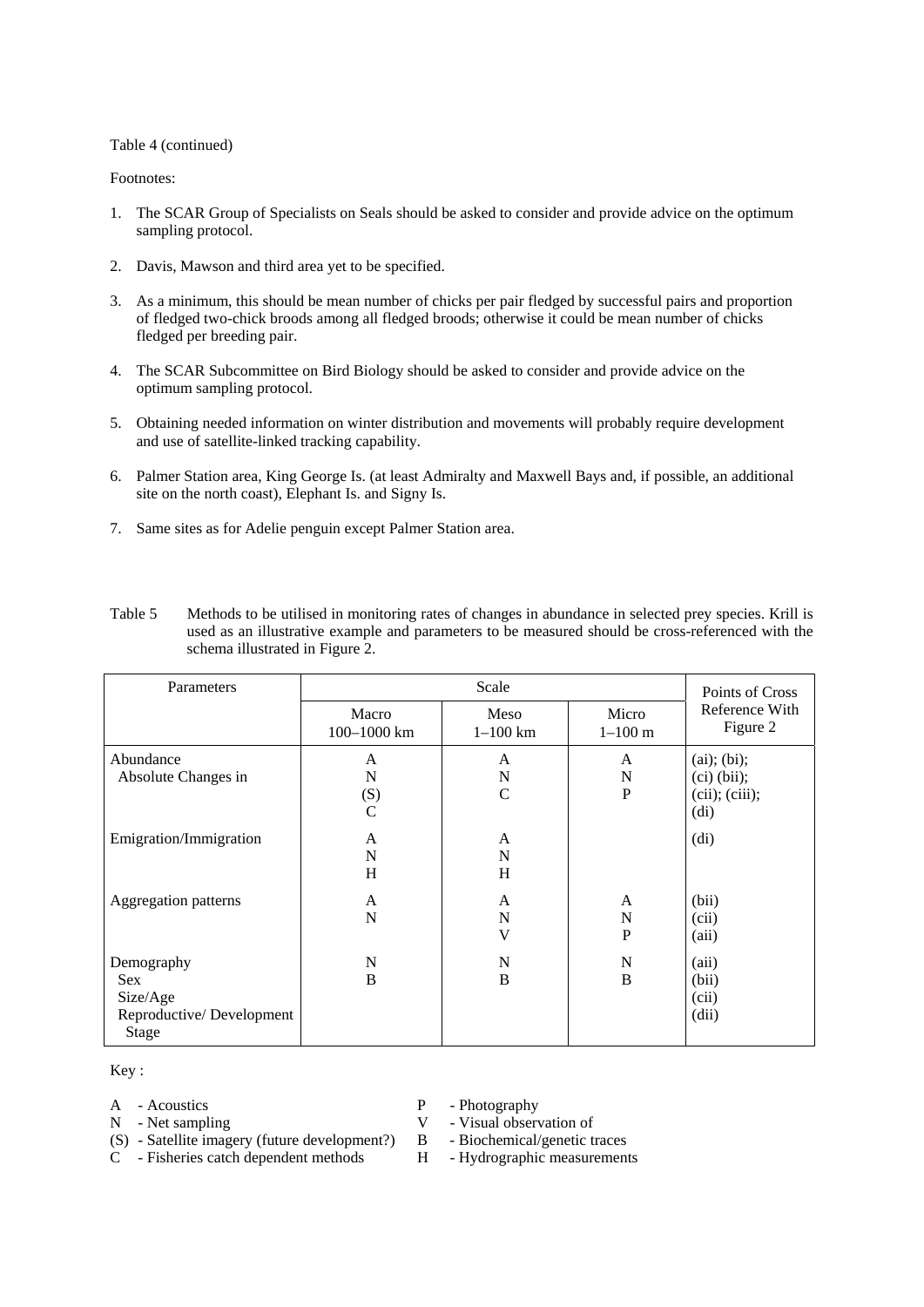#### Table 4 (continued)

#### Footnotes:

- 1. The SCAR Group of Specialists on Seals should be asked to consider and provide advice on the optimum sampling protocol.
- 2. Davis, Mawson and third area yet to be specified.
- 3. As a minimum, this should be mean number of chicks per pair fledged by successful pairs and proportion of fledged two-chick broods among all fledged broods; otherwise it could be mean number of chicks fledged per breeding pair.
- 4. The SCAR Subcommittee on Bird Biology should be asked to consider and provide advice on the optimum sampling protocol.
- 5. Obtaining needed information on winter distribution and movements will probably require development and use of satellite-linked tracking capability.
- 6. Palmer Station area, King George Is. (at least Admiralty and Maxwell Bays and, if possible, an additional site on the north coast), Elephant Is. and Signy Is.
- 7. Same sites as for Adelie penguin except Palmer Station area.

| Parameters                                                         |                                | Points of Cross         |                      |                                                                     |
|--------------------------------------------------------------------|--------------------------------|-------------------------|----------------------|---------------------------------------------------------------------|
|                                                                    | Macro<br>100-1000 km           | Meso<br>$1 - 100$ km    | Micro<br>$1 - 100$ m | Reference With<br>Figure 2                                          |
| Abundance<br>Absolute Changes in                                   | A<br>N<br>(S)<br>$\mathcal{C}$ | A<br>N<br>$\mathcal{C}$ | A<br>N<br>P          | (ai); (bi);<br>$(ci)$ (bii);<br>(cii); (ciii);<br>(d <sub>i</sub> ) |
| Emigration/Immigration                                             | A<br>N<br>H                    | A<br>N<br>H             |                      | (d <sub>i</sub> )                                                   |
| Aggregation patterns                                               | A<br>N                         | A<br>N<br>V             | A<br>N<br>P          | (bii)<br>(cii)<br>(aii)                                             |
| Demography<br>Sex<br>Size/Age<br>Reproductive/Development<br>Stage | N<br>B                         | N<br>B                  | N<br>B               | (aii)<br>(bii)<br>(cii)<br>(dii)                                    |

Table 5 Methods to be utilised in monitoring rates of changes in abundance in selected prey species. Krill is used as an illustrative example and parameters to be measured should be cross-referenced with the schema illustrated in Figure 2.

Key :

A - Acoustics P - Photography

N - Net sampling V - Visual observation of

- (S) Satellite imagery (future development?) B Biochemical/genetic traces
	-

C - Fisheries catch dependent methods H - Hydrographic measurements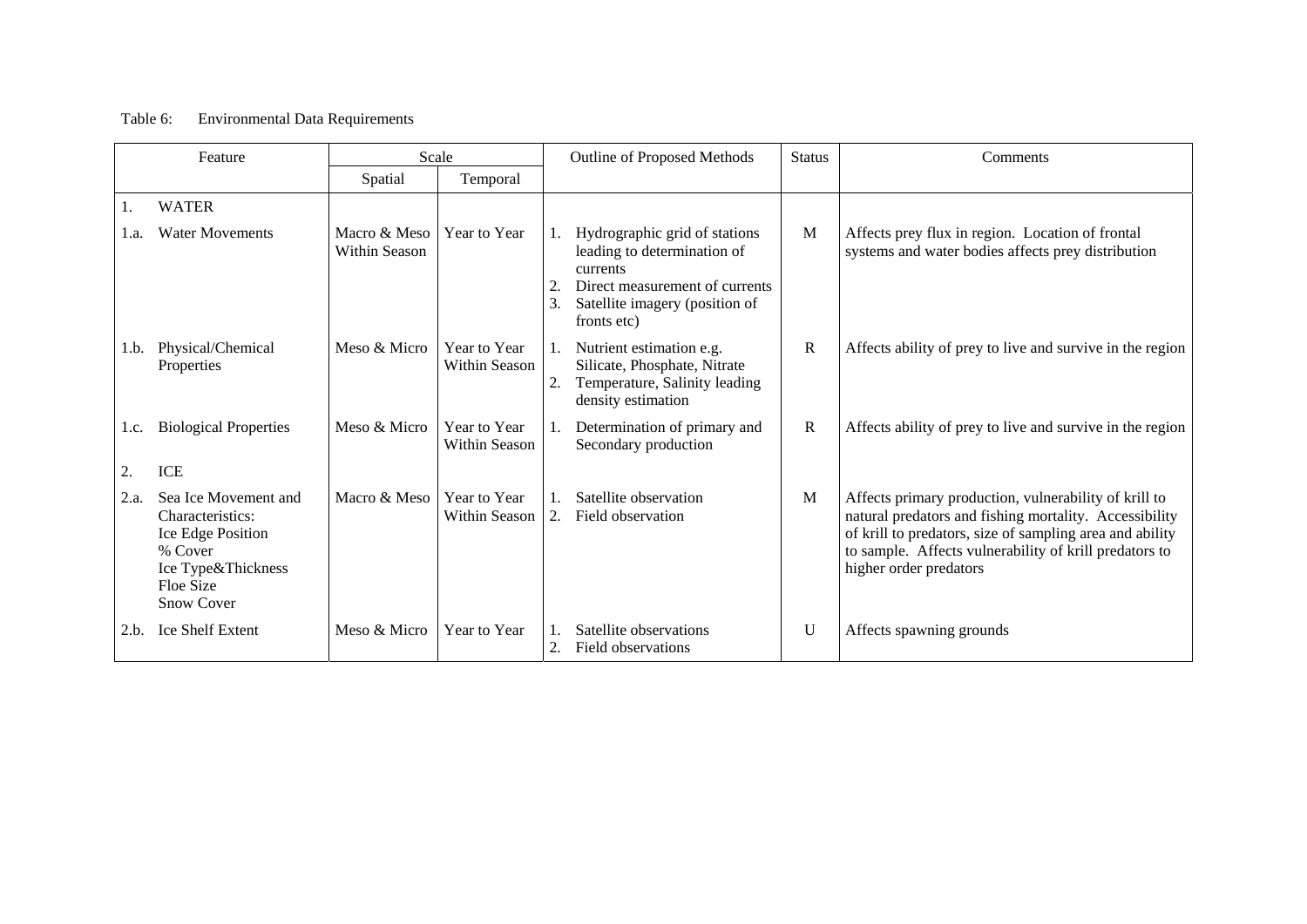#### Table 6: Environmental Data Requirements

| Feature |                                                                                                                                  | Scale                         |                               |         | Outline of Proposed Methods                                                                                                                                 |             | Comments                                                                                                                                                                                                                                                        |
|---------|----------------------------------------------------------------------------------------------------------------------------------|-------------------------------|-------------------------------|---------|-------------------------------------------------------------------------------------------------------------------------------------------------------------|-------------|-----------------------------------------------------------------------------------------------------------------------------------------------------------------------------------------------------------------------------------------------------------------|
|         |                                                                                                                                  | Spatial                       | Temporal                      |         |                                                                                                                                                             |             |                                                                                                                                                                                                                                                                 |
|         | <b>WATER</b>                                                                                                                     |                               |                               |         |                                                                                                                                                             |             |                                                                                                                                                                                                                                                                 |
| 1.a.    | <b>Water Movements</b>                                                                                                           | Macro & Meso<br>Within Season | Year to Year                  | 2<br>3. | Hydrographic grid of stations<br>leading to determination of<br>currents<br>Direct measurement of currents<br>Satellite imagery (position of<br>fronts etc) | M           | Affects prey flux in region. Location of frontal<br>systems and water bodies affects prey distribution                                                                                                                                                          |
| 1.b.    | Physical/Chemical<br>Properties                                                                                                  | Meso & Micro                  | Year to Year<br>Within Season | 2.      | Nutrient estimation e.g.<br>Silicate, Phosphate, Nitrate<br>Temperature, Salinity leading<br>density estimation                                             | $\mathbf R$ | Affects ability of prey to live and survive in the region                                                                                                                                                                                                       |
| 1.c.    | <b>Biological Properties</b>                                                                                                     | Meso & Micro                  | Year to Year<br>Within Season |         | Determination of primary and<br>Secondary production                                                                                                        | $\mathbf R$ | Affects ability of prey to live and survive in the region                                                                                                                                                                                                       |
|         | <b>ICE</b>                                                                                                                       |                               |                               |         |                                                                                                                                                             |             |                                                                                                                                                                                                                                                                 |
| 2.a.    | Sea Ice Movement and<br>Characteristics:<br>Ice Edge Position<br>% Cover<br>Ice Type&Thickness<br>Floe Size<br><b>Snow Cover</b> | Macro & Meso                  | Year to Year<br>Within Season |         | Satellite observation<br>Field observation                                                                                                                  | M           | Affects primary production, vulnerability of krill to<br>natural predators and fishing mortality. Accessibility<br>of krill to predators, size of sampling area and ability<br>to sample. Affects vulnerability of krill predators to<br>higher order predators |
| 2.b.    | <b>Ice Shelf Extent</b>                                                                                                          | Meso & Micro                  | Year to Year                  | 2.      | Satellite observations<br>Field observations                                                                                                                | U           | Affects spawning grounds                                                                                                                                                                                                                                        |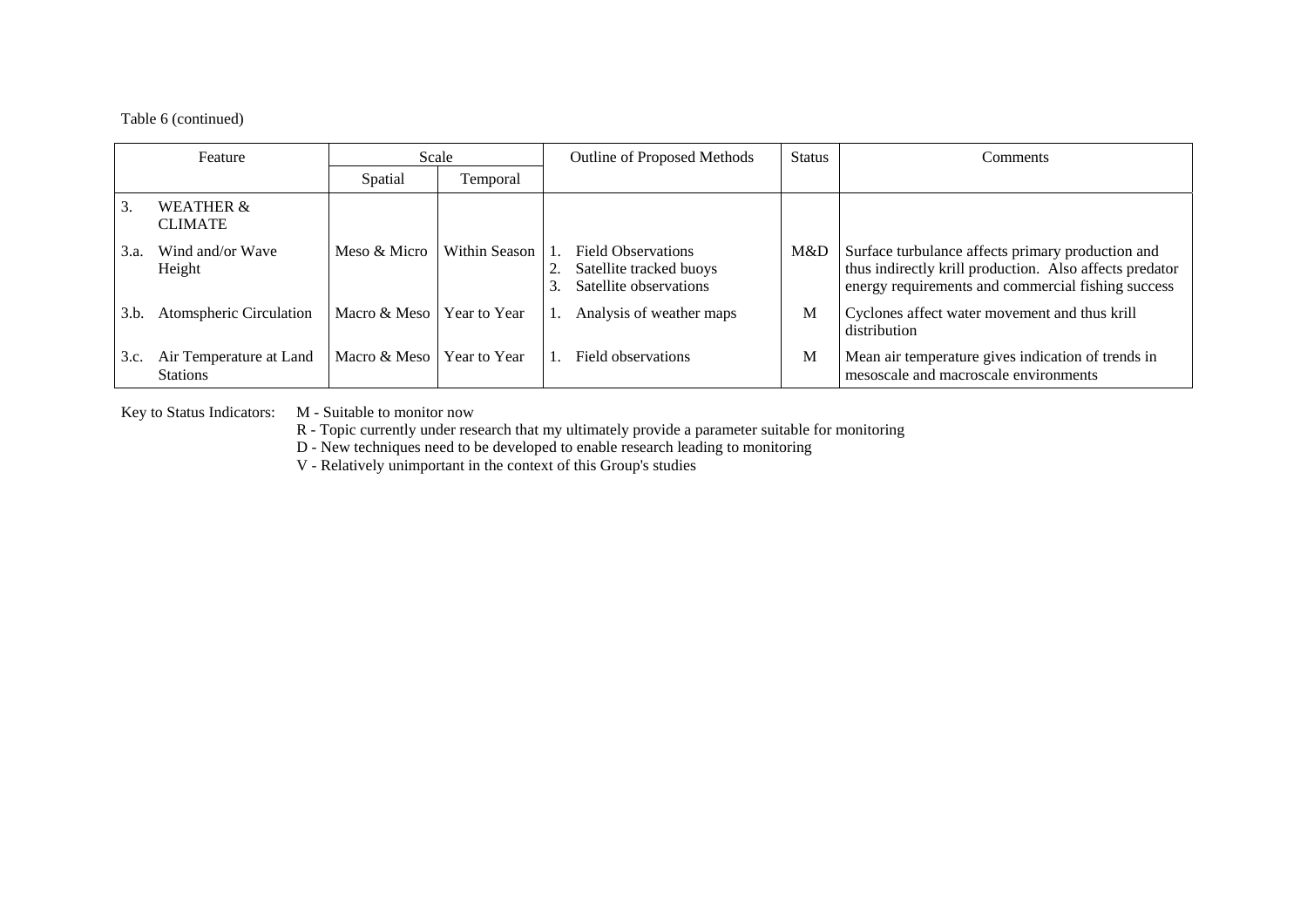#### Table 6 (continued)

| Feature |                                            | Scale        |               | Outline of Proposed Methods                                                    |     | Comments                                                                                                                                                           |
|---------|--------------------------------------------|--------------|---------------|--------------------------------------------------------------------------------|-----|--------------------------------------------------------------------------------------------------------------------------------------------------------------------|
|         |                                            | Spatial      | Temporal      |                                                                                |     |                                                                                                                                                                    |
| 3.      | <b>WEATHER &amp;</b><br><b>CLIMATE</b>     |              |               |                                                                                |     |                                                                                                                                                                    |
| 3.a.    | Wind and/or Wave<br>Height                 | Meso & Micro | Within Season | <b>Field Observations</b><br>Satellite tracked buoys<br>Satellite observations | M&D | Surface turbulance affects primary production and<br>thus indirectly krill production. Also affects predator<br>energy requirements and commercial fishing success |
| 3.b.    | Atomspheric Circulation                    | Macro & Meso | Year to Year  | Analysis of weather maps                                                       | М   | Cyclones affect water movement and thus krill<br>distribution                                                                                                      |
| 3.c.    | Air Temperature at Land<br><b>Stations</b> | Macro & Meso | Year to Year  | Field observations                                                             | М   | Mean air temperature gives indication of trends in<br>mesoscale and macroscale environments                                                                        |

Key to Status Indicators: M - Suitable to monitor now

R - Topic currently under research that my ultimately provide a parameter suitable for monitoring

D - New techniques need to be developed to enable research leading to monitoring

V - Relatively unimportant in the context of this Group's studies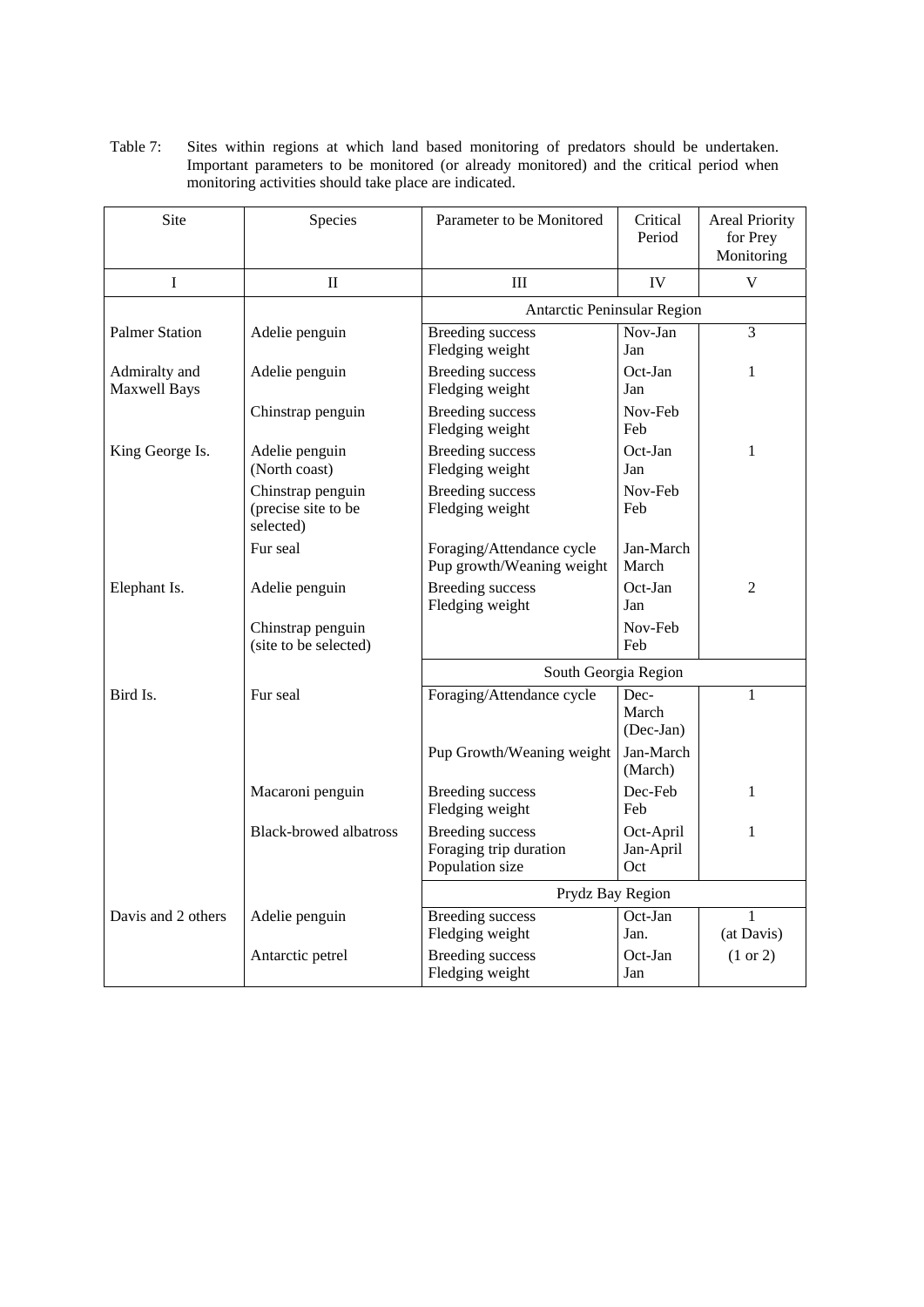| Table 7: | Sites within regions at which land based monitoring of predators should be undertaken.   |  |  |  |  |
|----------|------------------------------------------------------------------------------------------|--|--|--|--|
|          | Important parameters to be monitored (or already monitored) and the critical period when |  |  |  |  |
|          | monitoring activities should take place are indicated.                                   |  |  |  |  |

| Site                                 | Species                                               | Parameter to be Monitored                                            | Critical<br>Period            | <b>Areal Priority</b><br>for Prey<br>Monitoring |
|--------------------------------------|-------------------------------------------------------|----------------------------------------------------------------------|-------------------------------|-------------------------------------------------|
| $\mathbf I$                          | $\mathbf{I}$                                          | III                                                                  | IV                            | $\mathbf V$                                     |
|                                      |                                                       | Antarctic Peninsular Region                                          |                               |                                                 |
| <b>Palmer Station</b>                | Adelie penguin                                        | <b>Breeding</b> success<br>Fledging weight                           | Nov-Jan<br>Jan                | 3                                               |
| Admiralty and<br><b>Maxwell Bays</b> | Adelie penguin                                        | <b>Breeding</b> success<br>Fledging weight                           | Oct-Jan<br>Jan                | 1                                               |
|                                      | Chinstrap penguin                                     | <b>Breeding success</b><br>Fledging weight                           | Nov-Feb<br>Feb                |                                                 |
| King George Is.                      | Adelie penguin<br>(North coast)                       | <b>Breeding</b> success<br>Fledging weight                           | $Oct-Ian$<br>Jan              | 1                                               |
|                                      | Chinstrap penguin<br>(precise site to be<br>selected) | <b>Breeding</b> success<br>Fledging weight                           | Nov-Feb<br>Feb                |                                                 |
|                                      | Fur seal                                              | Foraging/Attendance cycle<br>Pup growth/Weaning weight               | Jan-March<br>March            |                                                 |
| Elephant Is.                         | Adelie penguin                                        | <b>Breeding</b> success<br>Fledging weight                           | Oct-Jan<br>Jan                | $\overline{2}$                                  |
|                                      | Chinstrap penguin<br>(site to be selected)            |                                                                      | Nov-Feb<br>Feb                |                                                 |
|                                      |                                                       | South Georgia Region                                                 |                               |                                                 |
| Bird Is.                             | Fur seal                                              | Foraging/Attendance cycle                                            | Dec-<br>March<br>(Dec-Jan)    | 1                                               |
|                                      |                                                       | Pup Growth/Weaning weight                                            | Jan-March<br>(March)          |                                                 |
|                                      | Macaroni penguin                                      | <b>Breeding</b> success<br>Fledging weight                           | Dec-Feb<br>Feb                | 1                                               |
|                                      | <b>Black-browed albatross</b>                         | <b>Breeding success</b><br>Foraging trip duration<br>Population size | Oct-April<br>Jan-April<br>Oct | 1                                               |
|                                      |                                                       | Prydz Bay Region                                                     |                               |                                                 |
| Davis and 2 others                   | Adelie penguin                                        | <b>Breeding</b> success<br>Fledging weight                           | Oct-Jan<br>Jan.               | 1<br>(at Davis)                                 |
|                                      | Antarctic petrel                                      | <b>Breeding success</b><br>Fledging weight                           | Oct-Jan<br>Jan                | $(1 \text{ or } 2)$                             |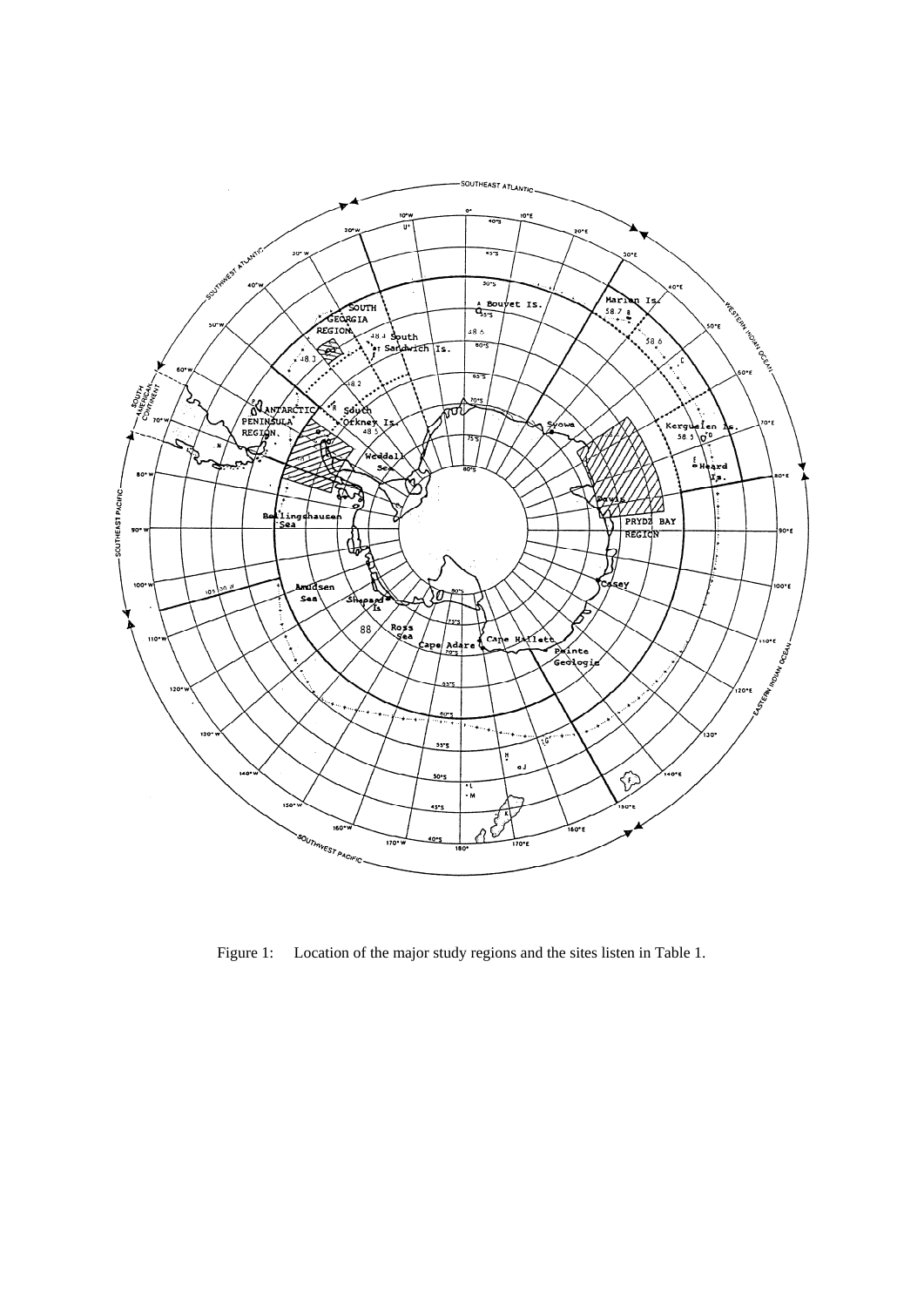

Figure 1: Location of the major study regions and the sites listen in Table 1.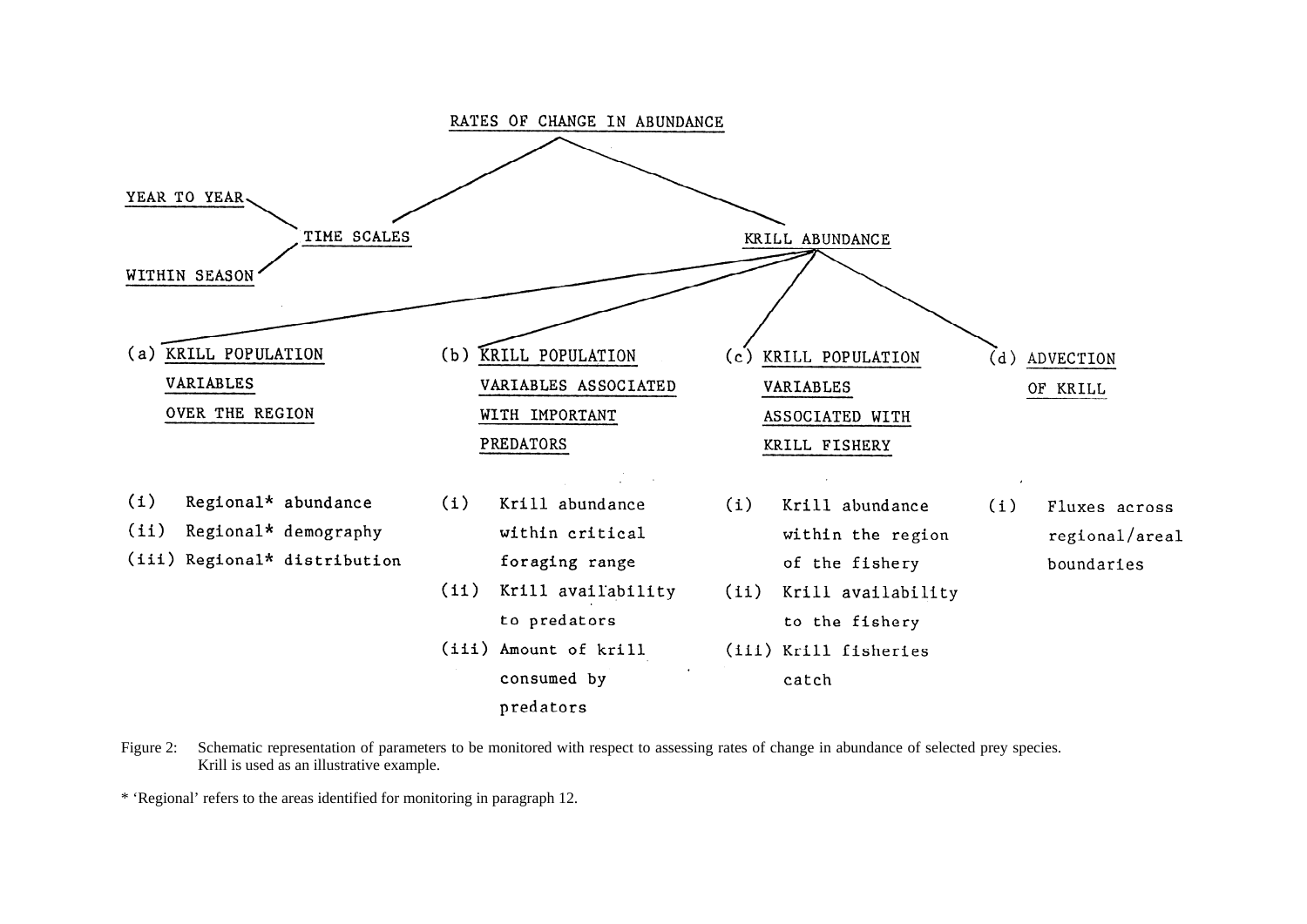

Figure 2: Schematic representation of parameters to be monitored with respect to assessing rates of change in abundance of selected prey species. Krill is used as an illustrative example.

\* 'Regional' refers to the areas identified for monitoring in paragraph 12.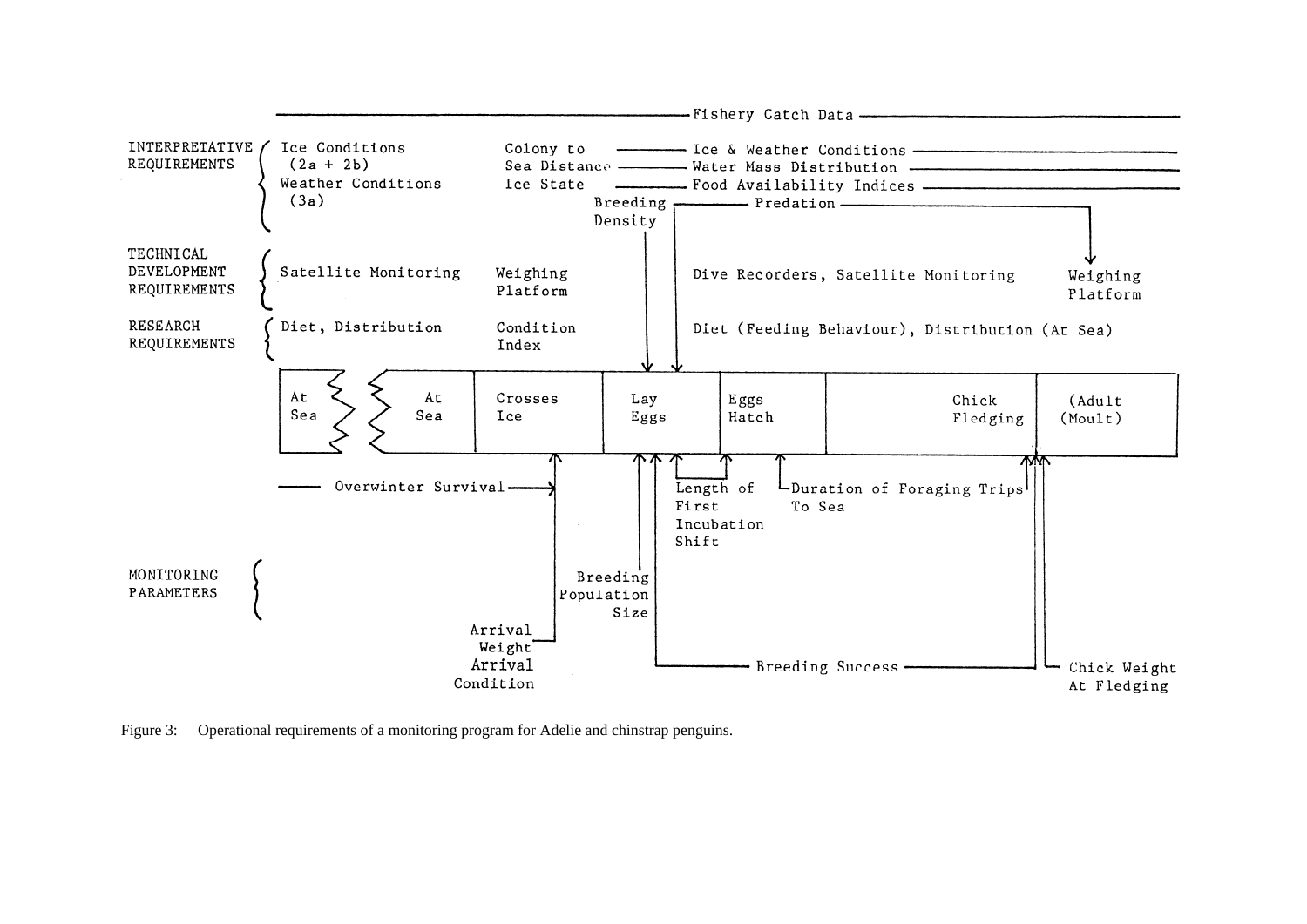

Figure 3: Operational requirements of a monitoring program for Adelie and chinstrap penguins.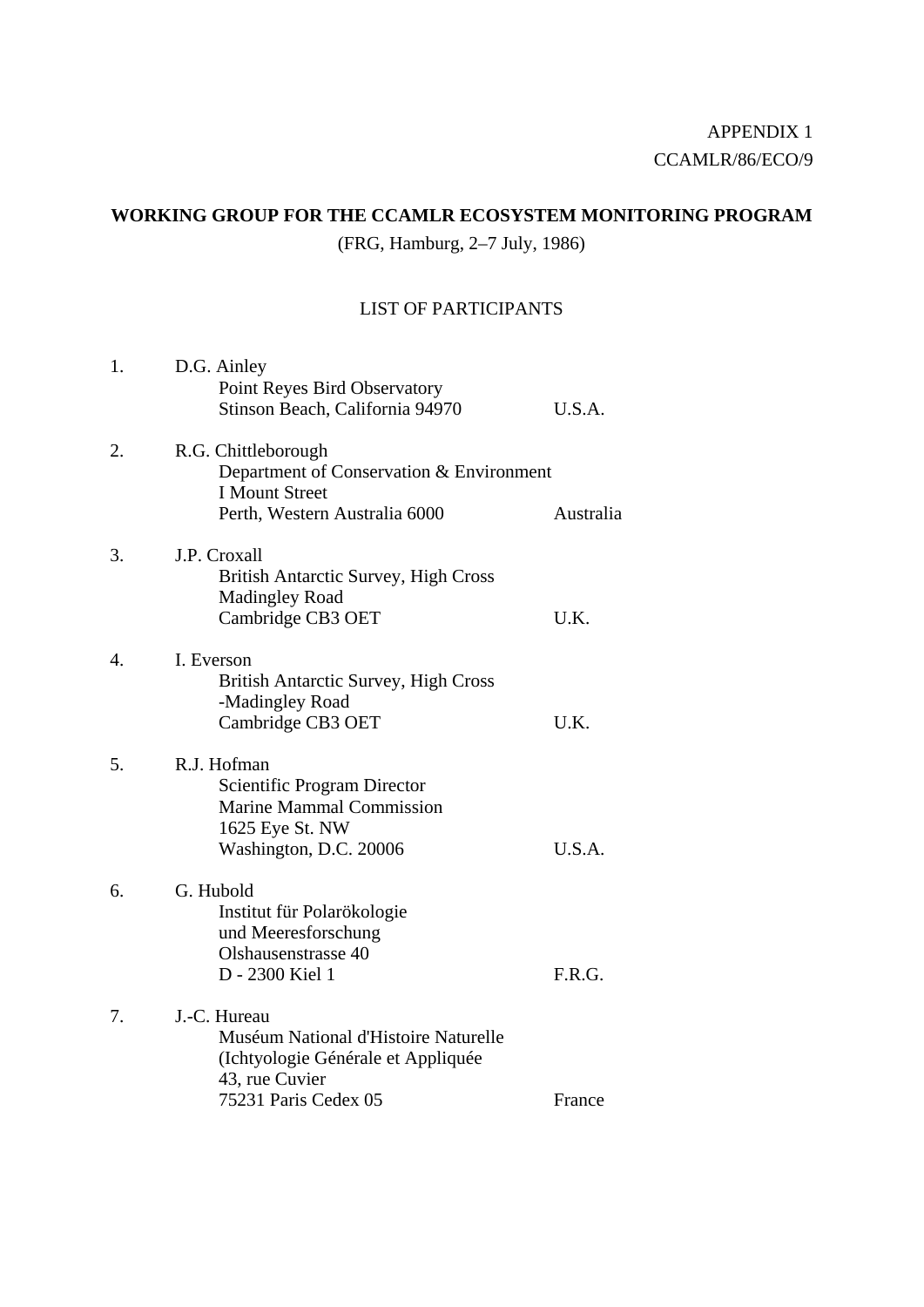### **WORKING GROUP FOR THE CCAMLR ECOSYSTEM MONITORING PROGRAM**

(FRG, Hamburg, 2–7 July, 1986)

### LIST OF PARTICIPANTS

| 1. | D.G. Ainley<br>Point Reyes Bird Observatory<br>Stinson Beach, California 94970                                                       | U.S.A.    |
|----|--------------------------------------------------------------------------------------------------------------------------------------|-----------|
| 2. | R.G. Chittleborough<br>Department of Conservation & Environment<br><b>I Mount Street</b><br>Perth, Western Australia 6000            | Australia |
| 3. | J.P. Croxall<br>British Antarctic Survey, High Cross<br>Madingley Road<br>Cambridge CB3 OET                                          | U.K.      |
| 4. | I. Everson<br><b>British Antarctic Survey, High Cross</b><br>-Madingley Road<br>Cambridge CB3 OET                                    | U.K.      |
| 5. | R.J. Hofman<br>Scientific Program Director<br><b>Marine Mammal Commission</b><br>1625 Eye St. NW<br>Washington, D.C. 20006           | U.S.A.    |
| 6. | G. Hubold<br>Institut für Polarökologie<br>und Meeresforschung<br>Olshausenstrasse 40<br>D - 2300 Kiel 1                             | F.R.G.    |
| 7. | J.-C. Hureau<br>Muséum National d'Histoire Naturelle<br>(Ichtyologie Générale et Appliquée<br>43, rue Cuvier<br>75231 Paris Cedex 05 | France    |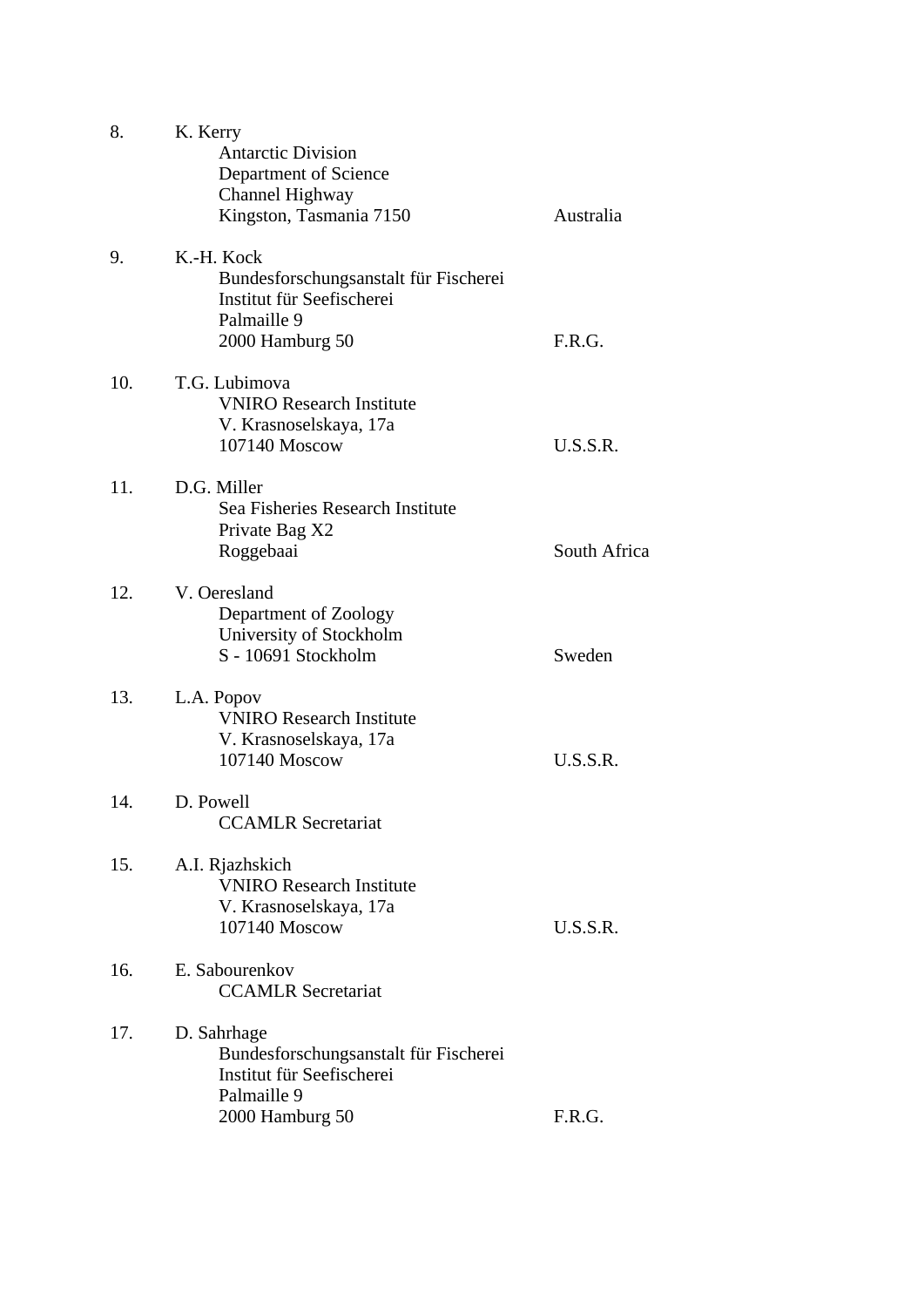| 8.  | K. Kerry<br><b>Antarctic Division</b><br>Department of Science<br>Channel Highway<br>Kingston, Tasmania 7150        | Australia    |
|-----|---------------------------------------------------------------------------------------------------------------------|--------------|
| 9.  | K.-H. Kock<br>Bundesforschungsanstalt für Fischerei<br>Institut für Seefischerei<br>Palmaille 9<br>2000 Hamburg 50  | F.R.G.       |
| 10. | T.G. Lubimova<br><b>VNIRO</b> Research Institute<br>V. Krasnoselskaya, 17a<br>107140 Moscow                         | U.S.S.R.     |
| 11. | D.G. Miller<br>Sea Fisheries Research Institute<br>Private Bag X2<br>Roggebaai                                      | South Africa |
| 12. | V. Oeresland<br>Department of Zoology<br>University of Stockholm<br>S - 10691 Stockholm                             | Sweden       |
| 13. | L.A. Popov<br><b>VNIRO Research Institute</b><br>V. Krasnoselskaya, 17a<br>107140 Moscow                            | U.S.S.R.     |
| 14. | D. Powell<br><b>CCAMLR</b> Secretariat                                                                              |              |
| 15. | A.I. Rjazhskich<br><b>VNIRO</b> Research Institute<br>V. Krasnoselskaya, 17a<br>107140 Moscow                       | U.S.S.R.     |
| 16. | E. Sabourenkov<br><b>CCAMLR Secretariat</b>                                                                         |              |
| 17. | D. Sahrhage<br>Bundesforschungsanstalt für Fischerei<br>Institut für Seefischerei<br>Palmaille 9<br>2000 Hamburg 50 | F.R.G.       |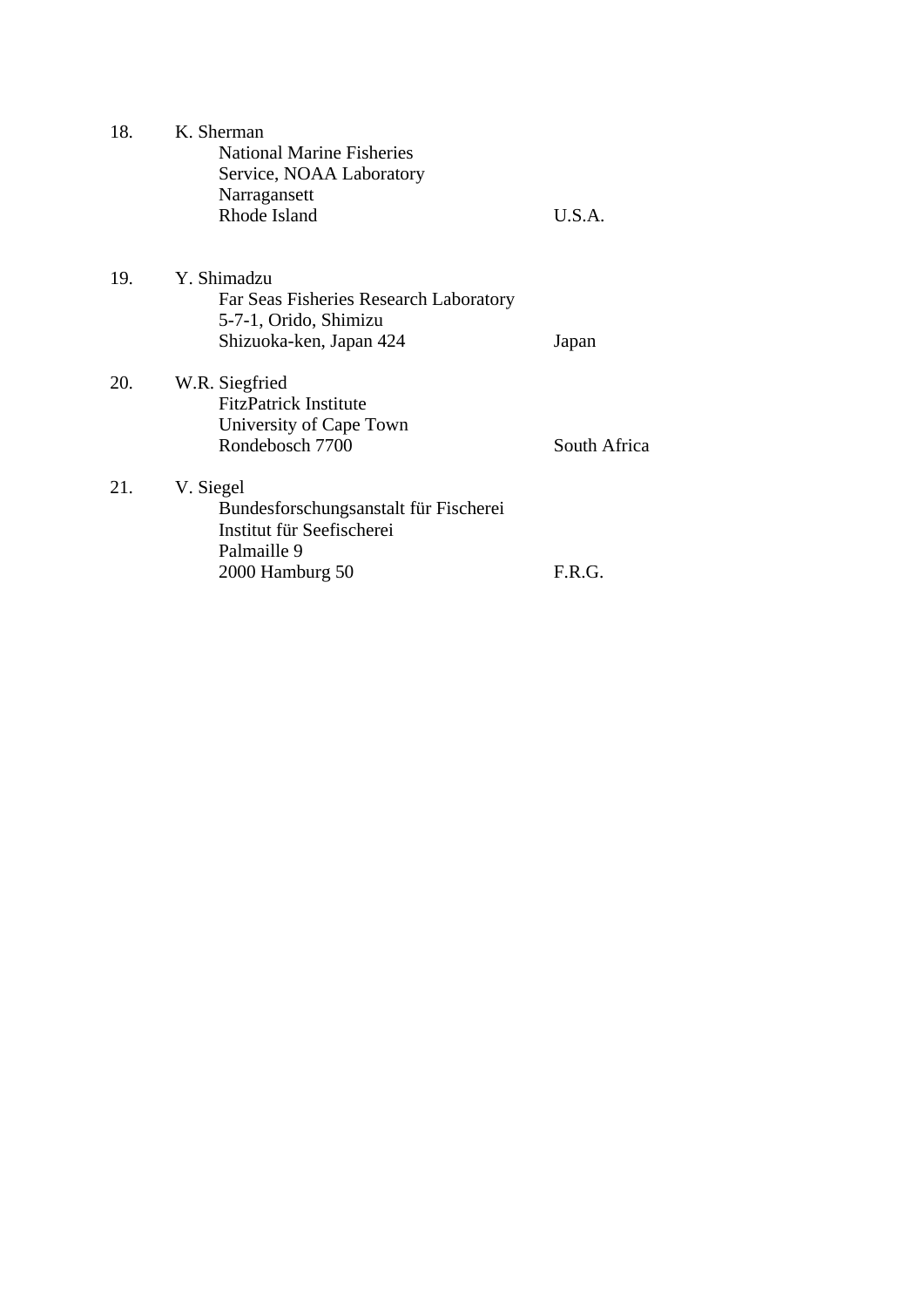| 18. | K. Sherman<br><b>National Marine Fisheries</b><br>Service, NOAA Laboratory |              |  |  |
|-----|----------------------------------------------------------------------------|--------------|--|--|
|     | Narragansett<br>Rhode Island                                               | U.S.A.       |  |  |
| 19. | Y. Shimadzu                                                                |              |  |  |
|     | Far Seas Fisheries Research Laboratory                                     |              |  |  |
|     | 5-7-1, Orido, Shimizu                                                      |              |  |  |
|     | Shizuoka-ken, Japan 424                                                    | Japan        |  |  |
| 20. | W.R. Siegfried                                                             |              |  |  |
|     | <b>FitzPatrick Institute</b>                                               |              |  |  |
|     | University of Cape Town                                                    |              |  |  |
|     | Rondebosch 7700                                                            | South Africa |  |  |
| 21. | V. Siegel                                                                  |              |  |  |
|     | Bundesforschungsanstalt für Fischerei                                      |              |  |  |
|     | Institut für Seefischerei                                                  |              |  |  |
|     | Palmaille 9                                                                |              |  |  |
|     | 2000 Hamburg 50                                                            | F.R.G.       |  |  |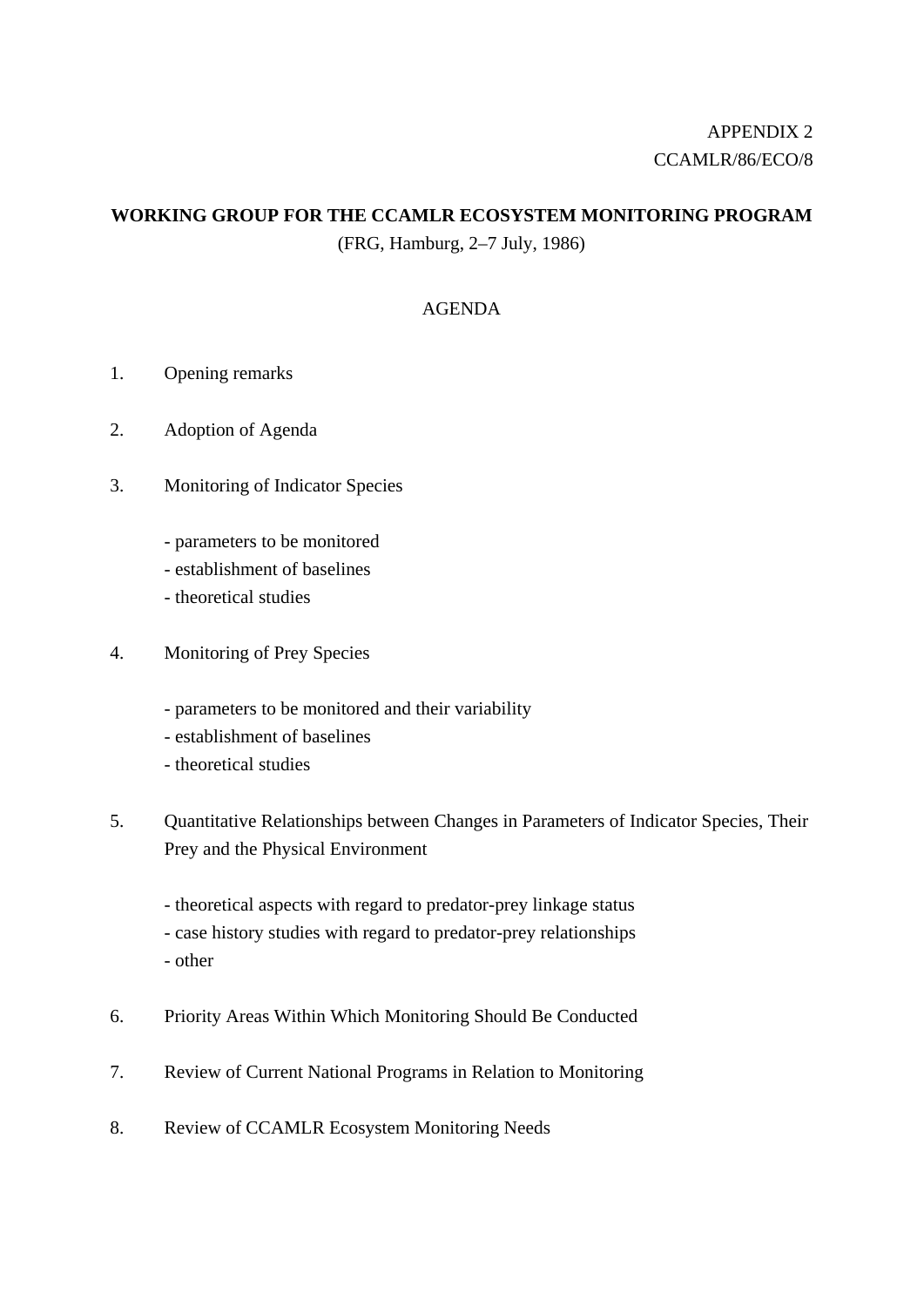## APPENDIX 2 CCAMLR/86/ECO/8

### **WORKING GROUP FOR THE CCAMLR ECOSYSTEM MONITORING PROGRAM**

(FRG, Hamburg, 2–7 July, 1986)

### AGENDA

- 1. Opening remarks
- 2. Adoption of Agenda
- 3. Monitoring of Indicator Species
	- parameters to be monitored
	- establishment of baselines
	- theoretical studies
- 4. Monitoring of Prey Species
	- parameters to be monitored and their variability
	- establishment of baselines
	- theoretical studies
- 5. Quantitative Relationships between Changes in Parameters of Indicator Species, Their Prey and the Physical Environment
	- theoretical aspects with regard to predator-prey linkage status
	- case history studies with regard to predator-prey relationships
	- other
- 6. Priority Areas Within Which Monitoring Should Be Conducted
- 7. Review of Current National Programs in Relation to Monitoring
- 8. Review of CCAMLR Ecosystem Monitoring Needs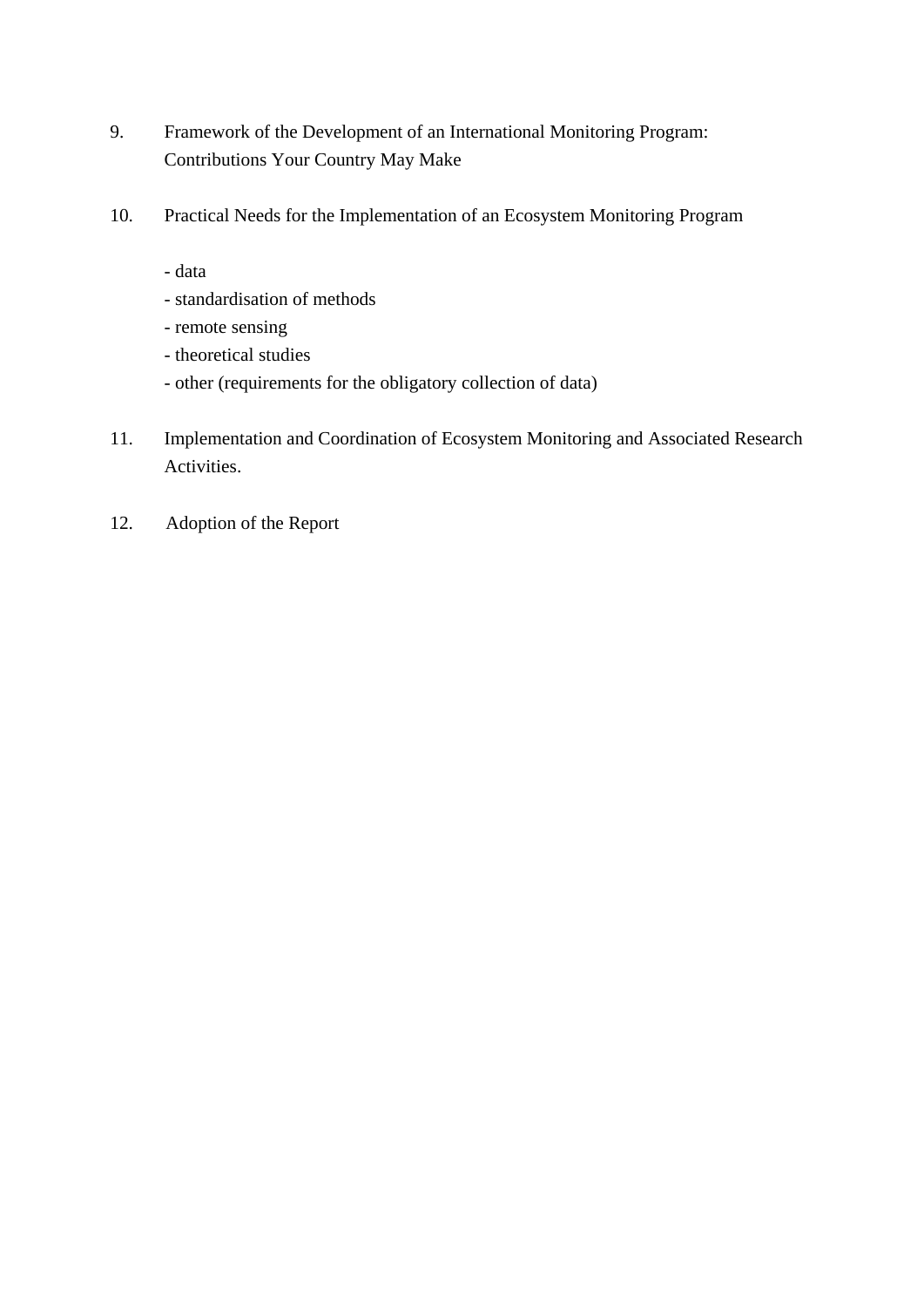- 9. Framework of the Development of an International Monitoring Program: Contributions Your Country May Make
- 10. Practical Needs for the Implementation of an Ecosystem Monitoring Program
	- data
	- standardisation of methods
	- remote sensing
	- theoretical studies
	- other (requirements for the obligatory collection of data)
- 11. Implementation and Coordination of Ecosystem Monitoring and Associated Research Activities.
- 12. Adoption of the Report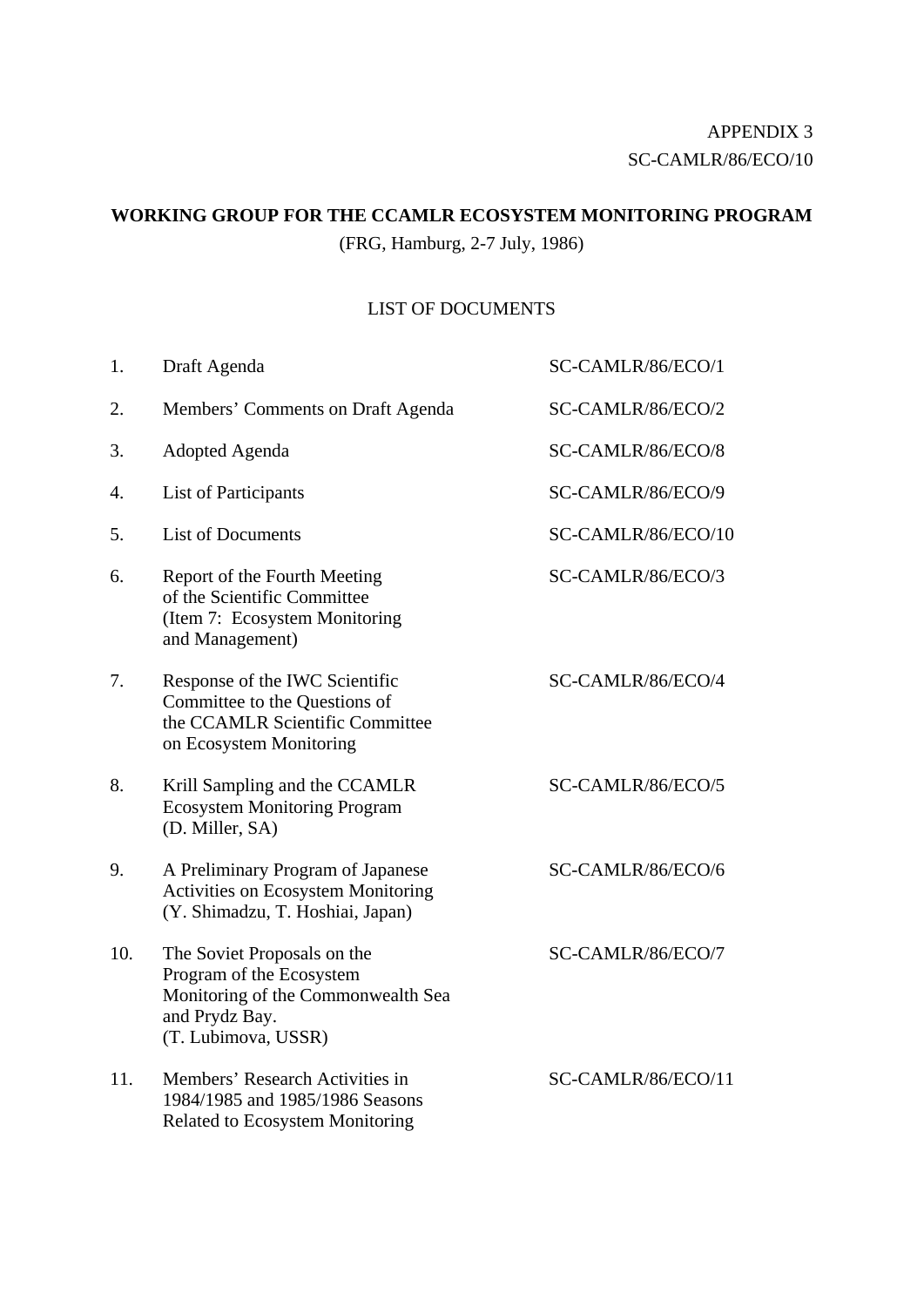### **WORKING GROUP FOR THE CCAMLR ECOSYSTEM MONITORING PROGRAM**

(FRG, Hamburg, 2-7 July, 1986)

### LIST OF DOCUMENTS

| 1.  | Draft Agenda                                                                                                                           | SC-CAMLR/86/ECO/1  |
|-----|----------------------------------------------------------------------------------------------------------------------------------------|--------------------|
| 2.  | Members' Comments on Draft Agenda                                                                                                      | SC-CAMLR/86/ECO/2  |
| 3.  | Adopted Agenda                                                                                                                         | SC-CAMLR/86/ECO/8  |
| 4.  | <b>List of Participants</b>                                                                                                            | SC-CAMLR/86/ECO/9  |
| 5.  | <b>List of Documents</b>                                                                                                               | SC-CAMLR/86/ECO/10 |
| 6.  | Report of the Fourth Meeting<br>of the Scientific Committee<br>(Item 7: Ecosystem Monitoring<br>and Management)                        | SC-CAMLR/86/ECO/3  |
| 7.  | Response of the IWC Scientific<br>Committee to the Questions of<br>the CCAMLR Scientific Committee<br>on Ecosystem Monitoring          | SC-CAMLR/86/ECO/4  |
| 8.  | Krill Sampling and the CCAMLR<br><b>Ecosystem Monitoring Program</b><br>(D. Miller, SA)                                                | SC-CAMLR/86/ECO/5  |
| 9.  | A Preliminary Program of Japanese<br><b>Activities on Ecosystem Monitoring</b><br>(Y. Shimadzu, T. Hoshiai, Japan)                     | SC-CAMLR/86/ECO/6  |
| 10. | The Soviet Proposals on the<br>Program of the Ecosystem<br>Monitoring of the Commonwealth Sea<br>and Prydz Bay.<br>(T. Lubimova, USSR) | SC-CAMLR/86/ECO/7  |
| 11. | Members' Research Activities in<br>1984/1985 and 1985/1986 Seasons<br><b>Related to Ecosystem Monitoring</b>                           | SC-CAMLR/86/ECO/11 |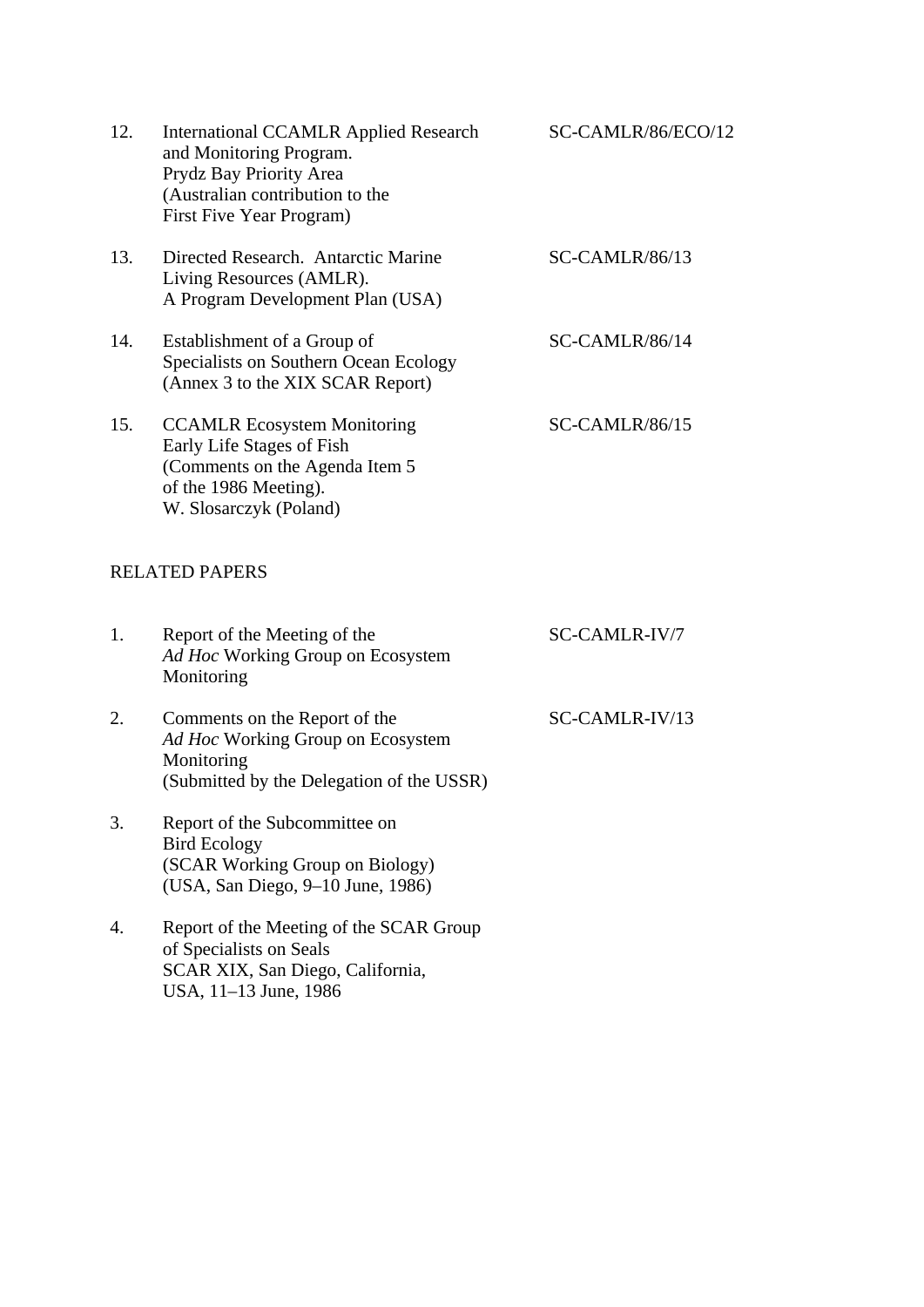| 12. | <b>International CCAMLR Applied Research</b><br>and Monitoring Program.<br>Prydz Bay Priority Area<br>(Australian contribution to the<br>First Five Year Program) | SC-CAMLR/86/ECO/12 |
|-----|-------------------------------------------------------------------------------------------------------------------------------------------------------------------|--------------------|
| 13. | Directed Research. Antarctic Marine<br>Living Resources (AMLR).<br>A Program Development Plan (USA)                                                               | $SC-CAMLR/86/13$   |
| 14. | Establishment of a Group of<br>Specialists on Southern Ocean Ecology<br>(Annex 3 to the XIX SCAR Report)                                                          | $SC-CAMLR/86/14$   |
| 15. | <b>CCAMLR Ecosystem Monitoring</b><br>Early Life Stages of Fish<br>(Comments on the Agenda Item 5)<br>of the 1986 Meeting).<br>W. Slosarczyk (Poland)             | $SC-CAMLR/86/15$   |

## RELATED PAPERS

| 1. | Report of the Meeting of the<br>Ad Hoc Working Group on Ecosystem<br>Monitoring                                               | SC-CAMLR-IV/7  |
|----|-------------------------------------------------------------------------------------------------------------------------------|----------------|
| 2. | Comments on the Report of the<br>Ad Hoc Working Group on Ecosystem<br>Monitoring<br>(Submitted by the Delegation of the USSR) | SC-CAMLR-IV/13 |
| 3. | Report of the Subcommittee on<br><b>Bird Ecology</b><br>(SCAR Working Group on Biology)<br>(USA, San Diego, 9–10 June, 1986)  |                |
| 4. | Report of the Meeting of the SCAR Group<br>of Specialists on Seals                                                            |                |

SCAR XIX, San Diego, California,

USA, 11–13 June, 1986